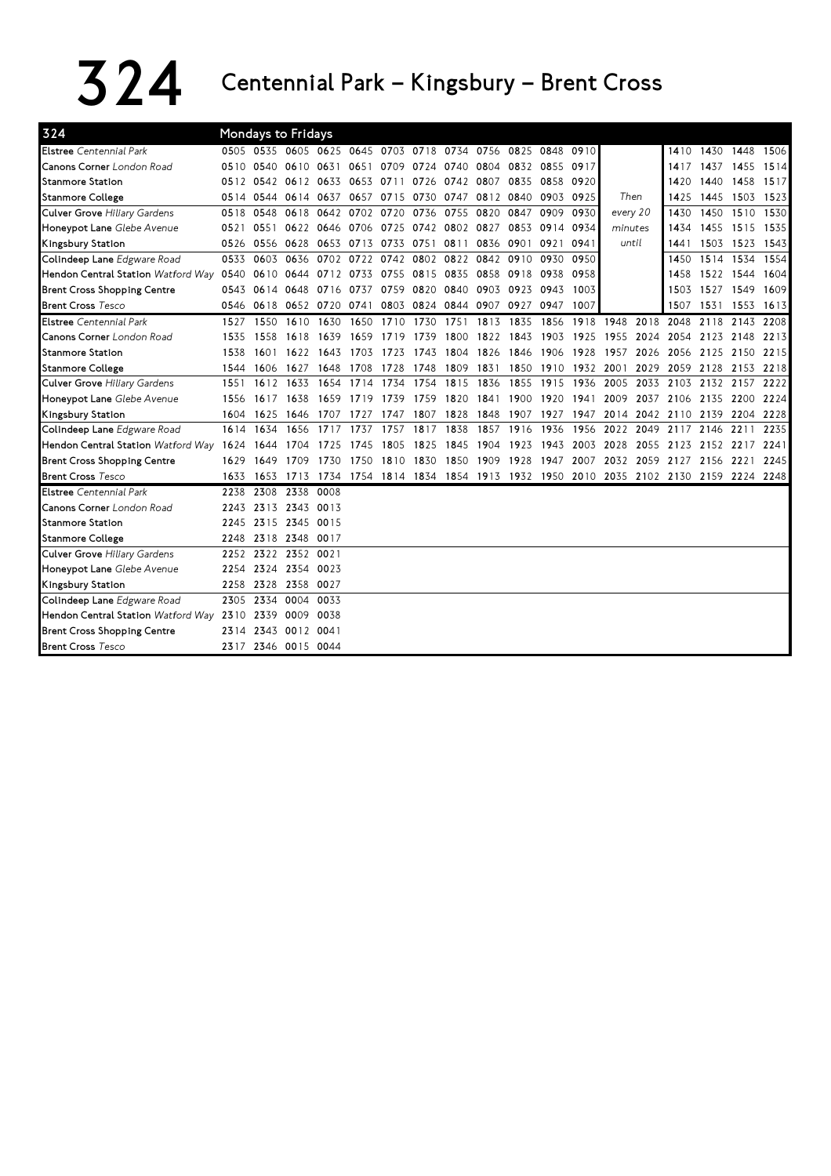## $324$  Centennial Park – Kingsbury – Brent Cross

| 324                                     |      | Mondays to Fridays                           |                |           |      |                                    |                     |           |           |      |                                                        |      |          |      |                     |           |                                              |      |
|-----------------------------------------|------|----------------------------------------------|----------------|-----------|------|------------------------------------|---------------------|-----------|-----------|------|--------------------------------------------------------|------|----------|------|---------------------|-----------|----------------------------------------------|------|
| <b>Elstree</b> Centennial Park          |      | 0505 0535 0605 0625 0645 0703 0718 0734 0756 |                |           |      |                                    |                     |           |           |      | 0825 0848                                              | 0910 |          |      | 1410                |           | 1430 1448 1506                               |      |
| Canons Corner London Road               | 0510 | 0540                                         | 0610 0631      |           |      | 0651 0709 0724                     |                     | 0740      | 0804      |      | 0832 0855                                              | 0917 |          |      | 1417                | 1437      | 1455 1514                                    |      |
| <b>Stanmore Station</b>                 |      | 0512 0542 0612 0633                          |                |           |      | 0653 0711                          | 0726                | 0742 0807 |           | 0835 | 0858 0920                                              |      |          |      | 1420                | 1440      | 1458 1517                                    |      |
| <b>Stanmore College</b>                 | 0514 | 0544                                         | 0614 0637      |           |      | 0657 0715 0730                     |                     |           | 0747 0812 | 0840 | 0903 0925                                              |      | Then     |      | 1425                | 1445      | 1503 1523                                    |      |
| Culver Grove Hiliary Gardens            | 0518 | 0548                                         |                | 0618 0642 |      | 0702 0720                          | 0736                | 0755      | 0820      | 0847 | 0909                                                   | 0930 | every 20 |      | 1430                | 1450      | 1510                                         | 1530 |
| Honeypot Lane Glebe Avenue              | 0521 | 0551                                         | 0622 0646      |           |      | 0706 0725 0742 0802 0827           |                     |           |           | 0853 | 0914 0934                                              |      | minutes  |      | 1434                | 1455      | 1515                                         | 1535 |
| Kingsbury Station                       | 0526 | 0556                                         | 0628           | 0653      | 0713 | 0733                               | 0751                | 0811      | 0836      | 0901 | 0921                                                   | 0941 | until    |      | 1441                | 1503      | 1523 1543                                    |      |
| Colindeep Lane Edgware Road             | 0533 | 0603                                         |                |           |      | 0636 0702 0722 0742 0802 0822 0842 |                     |           |           |      | 0910 0930                                              | 0950 |          |      | 1450                |           | 1514 1534 1554                               |      |
| Hendon Central Station Watford Way 0540 |      |                                              |                |           |      |                                    |                     |           |           |      | 0610 0644 0712 0733 0755 0815 0835 0858 0918 0938 0958 |      |          |      | 1458                |           | 1522 1544 1604                               |      |
| <b>Brent Cross Shopping Centre</b>      | 0543 | 0614                                         | 0648 0716      |           |      | 0737 0759 0820                     |                     | 0840      | 0903      |      | 0923 0943                                              | 1003 |          |      | 1503                | 1527 1549 |                                              | 1609 |
| <b>Brent Cross Tesco</b>                | 0546 | 0618                                         | 0652 0720      |           | 0741 |                                    | 0803 0824 0844 0907 |           |           | 0927 | 0947                                                   | 1007 |          |      | 1507                | 1531      | 1553                                         | 1613 |
| <b>Elstree</b> Centennial Park          | 1527 | 1550                                         | 1610           | 1630      | 1650 | 1710                               | 1730                | 1751      | 1813      | 1835 | 1856                                                   | 1918 | 1948     | 2018 | 2048                | 2118      | 2143                                         | 2208 |
| <b>Canons Corner</b> London Road        | 1535 | 1558                                         | 1618           | 1639      |      | 1659 1719                          | 1739                | 1800      | 1822      | 1843 | 1903                                                   | 1925 | 1955     | 2024 |                     |           | 2054 2123 2148 2213                          |      |
| <b>Stanmore Station</b>                 | 1538 | 1601                                         |                | 1622 1643 |      | 1703 1723                          | 1743                | 1804 1826 |           | 1846 | 1906 1928                                              |      | 1957     | 2026 |                     |           | 2056 2125 2150 2215                          |      |
| <b>Stanmore College</b>                 | 1544 | 1606                                         | 1627           | 1648      | 1708 | 1728                               | 1748                | 1809      | 1831      |      | 1850 1910 1932 2001                                    |      |          | 2029 | 2059 2128           |           | 2153 2218                                    |      |
| Culver Grove Hiliary Gardens            | 1551 | 1612                                         | 1633           | 1654      | 1714 | 1734                               | 1754                | 1815      | 1836      | 1855 | 1915                                                   | 1936 | 2005     | 2033 | 2103                | 2132      | 2157                                         | 2222 |
| Honeypot Lane Glebe Avenue              | 1556 | 1617                                         | 1638           | 1659      | 1719 | 1739                               | 1759                | 1820      | 1841      | 1900 | 1920                                                   | 1941 | 2009     | 2037 | 2106 2135           |           | 2200                                         | 2224 |
| Kingsbury Station                       | 1604 | 1625                                         | 1646           | 1707      | 1727 | 1747                               | 1807                | 1828      | 1848      | 1907 | 1927                                                   | 1947 | 2014     | 2042 | 2110 2139           |           | 2204                                         | 2228 |
| Colindeep Lane Edgware Road             | 1614 | 1634                                         | 1656           | 1717      | 1737 | 1757                               | 1817                | 1838      | 1857      | 1916 | 1936                                                   | 1956 | 2022     | 2049 | 2117 2146           |           | 2211                                         | 2235 |
| Hendon Central Station Watford Way 1624 |      | 1644                                         | 1704           | 1725      | 1745 | 1805                               | 1825                | 1845 1904 |           | 1923 | 1943                                                   | 2003 | 2028     | 2055 |                     |           | 2123 2152 2217 2241                          |      |
| <b>Brent Cross Shopping Centre</b>      | 1629 | 1649                                         | 1709           | 1730      | 1750 | 1810                               | 1830                | 1850 1909 |           | 1928 | 1947                                                   | 2007 |          |      | 2032 2059 2127 2156 |           | 2221                                         | 2245 |
| <b>Brent Cross Tesco</b>                | 1633 | 1653                                         | 1713           | 1734      |      | 1754 1814 1834 1854 1913           |                     |           |           |      |                                                        |      |          |      |                     |           | 1932 1950 2010 2035 2102 2130 2159 2224 2248 |      |
| <b>Elstree</b> Centennial Park          | 2238 | 2308                                         | 2338 0008      |           |      |                                    |                     |           |           |      |                                                        |      |          |      |                     |           |                                              |      |
| <b>Canons Corner</b> London Road        | 2243 | 2313                                         | 2343 0013      |           |      |                                    |                     |           |           |      |                                                        |      |          |      |                     |           |                                              |      |
| <b>Stanmore Station</b>                 | 2245 |                                              | 2315 2345 0015 |           |      |                                    |                     |           |           |      |                                                        |      |          |      |                     |           |                                              |      |
| <b>Stanmore College</b>                 | 2248 |                                              | 2318 2348 0017 |           |      |                                    |                     |           |           |      |                                                        |      |          |      |                     |           |                                              |      |
| Culver Grove Hiliary Gardens            | 2252 | 2322                                         | 2352 0021      |           |      |                                    |                     |           |           |      |                                                        |      |          |      |                     |           |                                              |      |
| Honeypot Lane Glebe Avenue              | 2254 | 2324                                         | 2354 0023      |           |      |                                    |                     |           |           |      |                                                        |      |          |      |                     |           |                                              |      |
| Kingsbury Station                       | 2258 | 2328 2358 0027                               |                |           |      |                                    |                     |           |           |      |                                                        |      |          |      |                     |           |                                              |      |
| Colindeep Lane Edgware Road             | 2305 | 2334                                         | 0004 0033      |           |      |                                    |                     |           |           |      |                                                        |      |          |      |                     |           |                                              |      |
| Hendon Central Station Watford Way 2310 |      | 2339                                         | 0009 0038      |           |      |                                    |                     |           |           |      |                                                        |      |          |      |                     |           |                                              |      |
| <b>Brent Cross Shopping Centre</b>      | 2314 | 2343                                         | 0012 0041      |           |      |                                    |                     |           |           |      |                                                        |      |          |      |                     |           |                                              |      |
| <b>Brent Cross Tesco</b>                |      | 2317 2346 0015 0044                          |                |           |      |                                    |                     |           |           |      |                                                        |      |          |      |                     |           |                                              |      |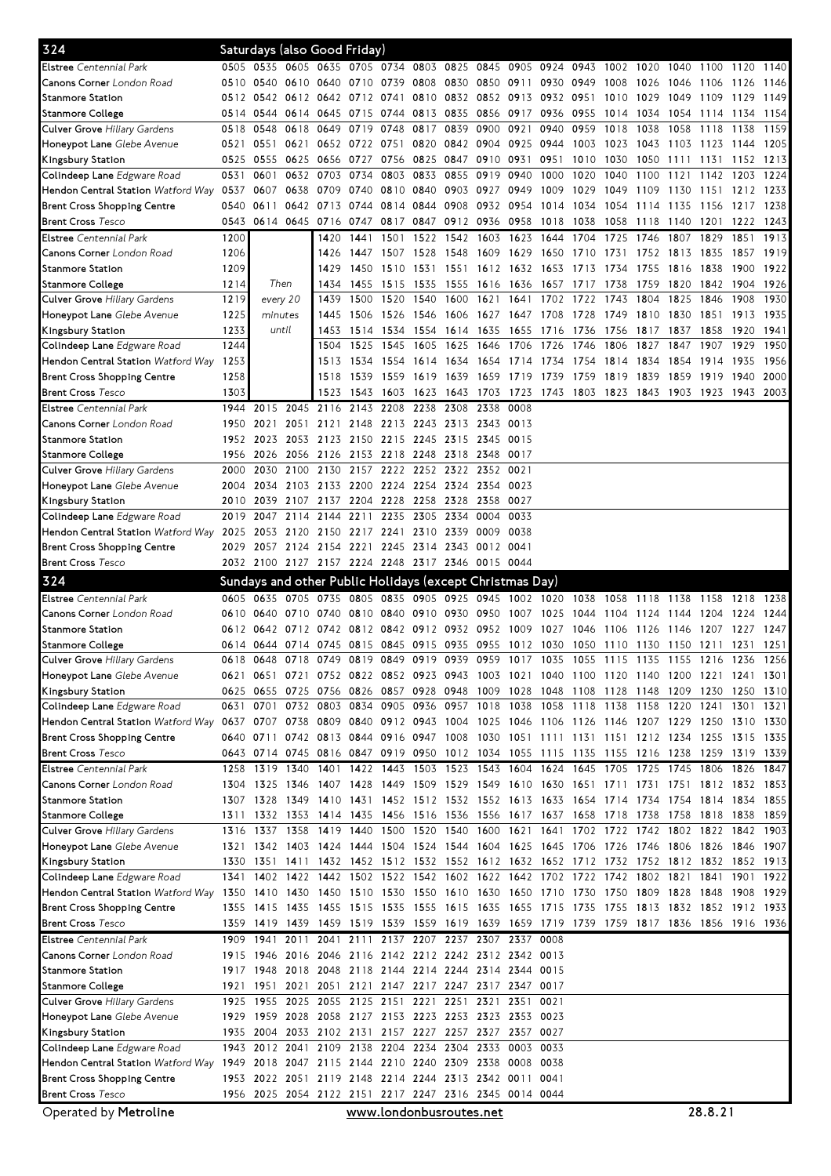| Elstree Centennial Park<br>0505 0535 0605 0635 0705 0734 0803 0825 0845 0905<br>0924 0943<br>1002 1020<br>1040<br>1100<br>1120<br>0830 0850 0911 0930<br>0510<br>0540<br>0610 0640<br>0739<br>0808<br>0949<br>1008<br>1026<br><b>Canons Corner</b> London Road<br>0710<br>1046<br>1106<br>1126<br>0832 0852 0913 0932 0951<br>0512<br>0542<br>0612 0642<br>0712 0741<br>0810<br>1029<br>1049<br>1109<br>Stanmore Station<br>1010<br>1129<br>0856 0917 0936 0955<br>0514<br>0544<br>0614 0645<br>0715 0744 0813<br>0835<br>1014<br>1034<br>1054<br>1114 1134<br>Stanmore College<br>0548<br>0618 0649<br>0748<br>0817<br>0839<br>0900<br>0921<br>0940<br>0959<br>1018<br>1038<br>1058<br>Culver Grove Hiliary Gardens<br>0518<br>0719<br>1118<br>1138<br>Honeypot Lane Glebe Avenue<br>0521<br>0551<br>0621<br>0652<br>0722 0751<br>0820<br>0842 0904<br>0925<br>0944<br>1003<br>1023<br>1043<br>1103<br>1123<br>1144<br>Kingsbury Station<br>0525<br>0555<br>0625 0656<br>0727<br>0756 0825<br>0847 0910 0931<br>0951<br>1010<br>1030<br>1050<br>1131<br>1152<br>1213<br>1111<br>0632 0703<br>0734<br>0833<br>0855<br>0919<br>Colindeep Lane Edgware Road<br>0531<br>0601<br>0803<br>0940<br>1000<br>1020<br>1040<br>1121<br>1142<br>1203<br>1224<br>1100<br>Hendon Central Station Watford Way 0537<br>0638 0709<br>0740<br>0810<br>0840<br>0903 0927<br>0949<br>1009<br>1029<br>1049<br>1233<br>0607<br>-1109<br>1130<br>1151<br>1212<br><b>Brent Cross Shopping Centre</b><br>0540<br>0611<br>0642 0713<br>0744<br>0814<br>0844<br>0908<br>0932<br>0954<br>1014<br>1034<br>1054<br>1217<br>1238<br>1114<br>1135<br>-1156<br><b>Brent Cross Tesco</b><br>0543<br>0614 0645 0716<br>0847<br>0912 0936<br>1222 1243<br>0747<br>0817<br>0958<br>1018<br>1038<br>1058<br>1118<br>1140<br>1201<br><b>Elstree</b> Centennial Park<br>1200<br>1913<br>1420<br>1441<br>1501<br>1522<br>1542<br>1603<br>1623<br>1704<br>1725<br>1746<br>1807<br>1829<br>1644<br>1851<br><b>Canons Corner</b> London Road<br>1206<br>1528<br>1548<br>1609<br>1629<br>1919<br>1426<br>1447<br>1507<br>1710<br>1752<br>1813<br>1835<br>1857<br>1650<br>1731<br>1209<br><b>Stanmore Station</b><br>1429<br>1450<br>1510<br>1531<br>1551<br>1612<br>1632<br>1816<br>1838<br>1900<br>1653<br>1713<br>1755<br>1734<br>1214<br>Then<br>1535<br>1555<br>1738<br>1434<br>1455<br>1515<br>1616<br>1636<br>1657<br>1759<br>1820<br>1842<br>1904<br>Stanmore College<br>1717<br>1219<br>1500<br>1520<br>1540<br>1743<br>1804<br>1825<br>1846<br>Culver Grove Hiliary Gardens<br>every 20<br>1439<br>1600<br>1621<br>1641<br>1702<br>1722<br>1908<br>1225<br>1506 1526 1546<br>1728 1749<br>1810<br>1830<br>1851<br>1913<br><b>Honeypot Lane</b> Glebe Avenue<br>minutes<br>1445<br>1606 1627<br>1647<br>1708<br>1233<br>until<br>Kingsbury Station<br>1453<br>1514 1534 1554<br>1614 1635<br>1655<br>1736<br>1756<br>1817<br>1837<br>1858<br>1920<br>1716<br>1244<br>1525 1545<br>1625<br>1726<br>1827<br>1907<br>Colindeep Lane Edgware Road<br>1504<br>1605<br>1646<br>1706<br>1746<br>1806<br>1847<br>1929<br>Hendon Central Station Watford Way 1253<br>1854<br>1513<br>1534<br>1554<br>1634<br>1754<br>1814<br>1834<br>1914<br>1935<br>1614<br>1654<br>1714<br>1734<br>1258<br><b>Brent Cross Shopping Centre</b><br>1518<br>1539<br>1559<br>1619<br>1639<br>1659<br>1719<br>1739<br>1759<br>1859<br>1919<br>1940<br>1819<br>1839<br><b>Brent Cross Tesco</b><br>1303<br>1523<br>1543<br>1603<br>1623<br>1643<br>1703<br>1723<br>1743<br>1803<br>1823<br>1843<br>1903 1923<br>1943<br><b>Elstree</b> Centennial Park<br>2015<br>2045<br>2116<br>2143<br>2208<br>2238<br>2308<br>2338<br>0008<br>1944<br>Canons Corner London Road<br>1950<br>2051<br>2121<br>2148<br>2213<br>2243<br>2313 2343 0013<br>2021<br>2023<br>2053 2123<br>2150 2215 2245<br>2315 2345 0015<br>Stanmore Station<br>1952<br>2026<br>2056 2126<br>2153 2218 2248<br>2318 2348 0017<br>Stanmore College<br>1956<br>2030<br>2100 2130<br>2157 2222 2252<br>Culver Grove Hiliary Gardens<br>2000<br>2322 2352 0021<br>2103 2133<br>2200 2224 2254<br><b>Honeypot Lane</b> Glebe Avenue<br>2034<br>2324 2354<br>0023<br>2004<br>Kingsbury Station<br>2039<br>2107 2137<br>2204 2228<br>2258<br>2328<br>2358<br>0027<br>2010<br>2114<br>2144<br>2211<br>2235<br>2305<br>2334<br>0004<br>0033<br>2019<br>2047<br>Colindeep Lane <i>Edgware Road</i><br>0038<br>Hendon Central Station <i>Watford Way</i><br>2025<br>2053<br>2120 2150<br>2217 2241<br>2310<br>2339 0009<br>Brent Cross Shopping Centre<br>2124 2154 2221 2245 2314<br>2343 0012 0041<br>2029<br>2057<br>2032 2100 2127 2157 2224 2248 2317 2346 0015 0044<br><b>Brent Cross Tesco</b><br>324<br>Sundays and other Public Holidays (except Christmas Day)<br>Elstree Centennial Park<br>0635<br>0705 0735<br>0805<br>0835 0905<br>0925 0945<br>1002 1020<br>1038 1058<br>0605<br>1118<br>1138<br>1158<br>1218<br><b>Canons Corner</b> London Road<br>0810<br>0840<br>0910<br>0950<br>1007<br>0610<br>0640<br>0710 0740<br>0930<br>1025<br>1044<br>1104<br>1204<br>1224<br>1124<br>1144<br><b>Stanmore Station</b><br>0642<br>0712 0742<br>0812 0842<br>0912<br>0932 0952<br>1009<br>1027<br>1046<br>1227<br>0612<br>1106<br>1126<br>-1207<br>1146<br>Stanmore College<br>0614<br>0644<br>0714<br>0745<br>0815<br>0845<br>0915<br>0935<br>0955<br>1012<br>1030<br>1050<br>1150<br>1231<br>1110<br>1130<br>1211<br>0819 0849 0919<br>0939 0959<br>1017 1035<br>1055 1115<br>1155 1216<br>Culver Grove Hiliary Gardens<br>0618<br>0648<br>0718 0749<br>1135<br>1236<br>Honeypot Lane Glebe Avenue<br>0621 0651 0721 0752 0822 0852 0923 0943 1003 1021 1040 1100 1120 1140 1200 1221 1241 1301<br>Kingsbury Station<br>0655 0725 0756<br>0826 0857 0928 0948 1009 1028 1048 1108 1128 1148 1209 1230 1250 1310<br>0625<br>0732 0803<br>0834 0905 0936 0957 1018 1038 1058 1118 1138 1158 1220 1241 1301 1321<br>Colindeep Lane Edgware Road<br>0631<br>0701<br>Hendon Central Station Watford Way 0637 0707 0738 0809<br>0840 0912 0943 1004 1025 1046 1106 1126 1146 1207 1229 1250 1310 1330<br>0640 0711 0742 0813 0844 0916 0947 1008 1030 1051 1111 1131 1151 1212 1234 1255 1315 1335<br><b>Brent Cross Shopping Centre</b><br><b>Brent Cross Tesco</b><br>0643 0714 0745 0816 0847 0919 0950 1012 1034 1055 1115 1135 1155 1216 1238 1259<br>1319 1339<br>Elstree Centennial Park<br>1340<br>1401 1422 1443 1503<br>1523 1543 1604 1624 1645 1705 1725 1745 1806<br>1258<br>1319<br>1826<br>1346 1407 1428 1449 1509<br>1529 1549 1610 1630 1651 1711 1731<br>Canons Corner London Road<br>1325<br>1751 1812 1832<br>1304<br>Stanmore Station<br>1307 1328<br>1349 1410 1431 1452 1512 1532 1552 1613 1633 1654 1714 1734 1754 1814 1834 1855<br>1332 1353 1414 1435 1456 1516 1536 1556 1617 1637 1658 1718 1738<br>1758 1818<br>Stanmore College<br>1311<br>1838 1859<br>Culver Grove Hiliary Gardens<br>1316 1337 1358 1419 1440 1500 1520<br>1540 1600 1621<br>1641 1702 1722 1742 1802 1822 1842<br>1321 1342 1403 1424 1444 1504 1524 1544 1604 1625 1645 1706 1726 1746 1806 1826 1846 1907<br><b>Honeypot Lane</b> Glebe Avenue<br>1411 1432 1452 1512 1532 1552 1612 1632 1652 1712 1732 1752 1812 1832 1852 1913<br>Kingsbury Station<br>1330<br>1351<br>1402 1422 1442 1502 1522 1542 1602 1622 1642 1702 1722 1742 1802 1821 1841<br>Colindeep Lane Edgware Road<br>1341<br>1901<br>Hendon Central Station Watford Way<br>1350 1410 1430 1450 1510 1530 1550 1610 1630 1650 1710 1730 1750 1809 1828 1848<br>1908 1929<br>1355 1415 1435 1455 1515 1535 1555 1615 1635 1655 1715 1735 1755 1813 1832 1852 1912 1933<br>Brent Cross Shopping Centre<br>1359 1419 1439 1459 1519 1539 1559 1619 1639 1659 1719 1739 1759 1817 1836 1856 1916 1936<br><b>Brent Cross Tesco</b><br>2111 2137 2207 2237 2307 2337 0008<br>Elstree Centennial Park<br>2011 2041<br>1909<br>1941<br>Canons Corner London Road<br>1946 2016 2046<br>2116 2142 2212 2242 2312 2342 0013<br>1915<br>2118 2144 2214 2244 2314 2344 0015<br>Stanmore Station<br>1917 1948<br>2018 2048<br>1951<br>2021 2051<br>2121 2147 2217 2247 2317 2347 0017<br>Stanmore College<br>1921<br>1955<br>2025 2055 2125 2151 2221<br>2321<br>Culver Grove Hiliary Gardens<br>1925<br>2251<br>2351<br>0021<br>1959 2028 2058 2127 2153 2223 2253 2323 2353 0023<br><b>Honeypot Lane</b> Glebe Avenue<br>1929<br>2004 2033 2102 2131 2157 2227 2257 2327 2357 0027<br>Kingsbury Station<br>1935<br>1943 2012 2041 2109 2138 2204 2234 2304 2333 0003 0033<br>Colindeep Lane Edgware Road<br>Hendon Central Station Watford Way 1949 2018 2047 2115 2144 2210 2240 2309 2338 0008<br>0038<br>2022 2051 2119 2148 2214 2244 2313 2342 0011 0041<br><b>Brent Cross Shopping Centre</b><br>1953<br><b>Brent Cross Tesco</b><br>1956 2025 2054 2122 2151 2217 2247 2316 2345 0014 0044 | 324 | Saturdays (also Good Friday) |  |  |  |  |  |  |  |      |
|------------------------------------------------------------------------------------------------------------------------------------------------------------------------------------------------------------------------------------------------------------------------------------------------------------------------------------------------------------------------------------------------------------------------------------------------------------------------------------------------------------------------------------------------------------------------------------------------------------------------------------------------------------------------------------------------------------------------------------------------------------------------------------------------------------------------------------------------------------------------------------------------------------------------------------------------------------------------------------------------------------------------------------------------------------------------------------------------------------------------------------------------------------------------------------------------------------------------------------------------------------------------------------------------------------------------------------------------------------------------------------------------------------------------------------------------------------------------------------------------------------------------------------------------------------------------------------------------------------------------------------------------------------------------------------------------------------------------------------------------------------------------------------------------------------------------------------------------------------------------------------------------------------------------------------------------------------------------------------------------------------------------------------------------------------------------------------------------------------------------------------------------------------------------------------------------------------------------------------------------------------------------------------------------------------------------------------------------------------------------------------------------------------------------------------------------------------------------------------------------------------------------------------------------------------------------------------------------------------------------------------------------------------------------------------------------------------------------------------------------------------------------------------------------------------------------------------------------------------------------------------------------------------------------------------------------------------------------------------------------------------------------------------------------------------------------------------------------------------------------------------------------------------------------------------------------------------------------------------------------------------------------------------------------------------------------------------------------------------------------------------------------------------------------------------------------------------------------------------------------------------------------------------------------------------------------------------------------------------------------------------------------------------------------------------------------------------------------------------------------------------------------------------------------------------------------------------------------------------------------------------------------------------------------------------------------------------------------------------------------------------------------------------------------------------------------------------------------------------------------------------------------------------------------------------------------------------------------------------------------------------------------------------------------------------------------------------------------------------------------------------------------------------------------------------------------------------------------------------------------------------------------------------------------------------------------------------------------------------------------------------------------------------------------------------------------------------------------------------------------------------------------------------------------------------------------------------------------------------------------------------------------------------------------------------------------------------------------------------------------------------------------------------------------------------------------------------------------------------------------------------------------------------------------------------------------------------------------------------------------------------------------------------------------------------------------------------------------------------------------------------------------------------------------------------------------------------------------------------------------------------------------------------------------------------------------------------------------------------------------------------------------------------------------------------------------------------------------------------------------------------------------------------------------------------------------------------------------------------------------------------------------------------------------------------------------------------------------------------------------------------------------------------------------------------------------------------------------------------------------------------------------------------------------------------------------------------------------------------------------------------------------------------------------------------------------------------------------------------------------------------------------------------------------------------------------------------------------------------------------------------------------------------------------------------------------------------------------------------------------------------------------------------------------------------------------------------------------------------------------------------------------------------------------------------------------------------------------------------------------------------------------------------------------------------------------------------------------------------------------------------------------------------------------------------------------------------------------------------------------------------------------------------------------------------------------------------------------------------------------------------------------------------------------------------------------------------------------------------------------------------------------------------------------------------------------------------------------------------------------------------------------------------------------------------------------------------------------------------------------------------------------------------------------------------------------------------------------------------------------------------------------------------------------------------------------------------------------------------------------------------------------------------------------------------------------------------------------------------------------------------------------------------------------------------------------------------------------------------------------------------------------------------------------------------------------------------------------------------------------------------------------------------------------------------------------------------------------------------------------------------------------------------------------------------------------------------------------------------------------------------------------------------------------------------------------------------------------------------------------------------------------------------------------------------------------------------------------------------------------------------------------------------------------------------------------------------------------------|-----|------------------------------|--|--|--|--|--|--|--|------|
|                                                                                                                                                                                                                                                                                                                                                                                                                                                                                                                                                                                                                                                                                                                                                                                                                                                                                                                                                                                                                                                                                                                                                                                                                                                                                                                                                                                                                                                                                                                                                                                                                                                                                                                                                                                                                                                                                                                                                                                                                                                                                                                                                                                                                                                                                                                                                                                                                                                                                                                                                                                                                                                                                                                                                                                                                                                                                                                                                                                                                                                                                                                                                                                                                                                                                                                                                                                                                                                                                                                                                                                                                                                                                                                                                                                                                                                                                                                                                                                                                                                                                                                                                                                                                                                                                                                                                                                                                                                                                                                                                                                                                                                                                                                                                                                                                                                                                                                                                                                                                                                                                                                                                                                                                                                                                                                                                                                                                                                                                                                                                                                                                                                                                                                                                                                                                                                                                                                                                                                                                                                                                                                                                                                                                                                                                                                                                                                                                                                                                                                                                                                                                                                                                                                                                                                                                                                                                                                                                                                                                                                                                                                                                                                                                                                                                                                                                                                                                                                                                                                                                                                                                                                                                                                                                                                                                                                                                                                                                                                                                                                                                                                                                                                                                                                                                                                                                                                                                                                                                                                                                                                                                                                                                                                                                                                                                                                      |     |                              |  |  |  |  |  |  |  | 1140 |
|                                                                                                                                                                                                                                                                                                                                                                                                                                                                                                                                                                                                                                                                                                                                                                                                                                                                                                                                                                                                                                                                                                                                                                                                                                                                                                                                                                                                                                                                                                                                                                                                                                                                                                                                                                                                                                                                                                                                                                                                                                                                                                                                                                                                                                                                                                                                                                                                                                                                                                                                                                                                                                                                                                                                                                                                                                                                                                                                                                                                                                                                                                                                                                                                                                                                                                                                                                                                                                                                                                                                                                                                                                                                                                                                                                                                                                                                                                                                                                                                                                                                                                                                                                                                                                                                                                                                                                                                                                                                                                                                                                                                                                                                                                                                                                                                                                                                                                                                                                                                                                                                                                                                                                                                                                                                                                                                                                                                                                                                                                                                                                                                                                                                                                                                                                                                                                                                                                                                                                                                                                                                                                                                                                                                                                                                                                                                                                                                                                                                                                                                                                                                                                                                                                                                                                                                                                                                                                                                                                                                                                                                                                                                                                                                                                                                                                                                                                                                                                                                                                                                                                                                                                                                                                                                                                                                                                                                                                                                                                                                                                                                                                                                                                                                                                                                                                                                                                                                                                                                                                                                                                                                                                                                                                                                                                                                                                                      |     |                              |  |  |  |  |  |  |  | 1146 |
|                                                                                                                                                                                                                                                                                                                                                                                                                                                                                                                                                                                                                                                                                                                                                                                                                                                                                                                                                                                                                                                                                                                                                                                                                                                                                                                                                                                                                                                                                                                                                                                                                                                                                                                                                                                                                                                                                                                                                                                                                                                                                                                                                                                                                                                                                                                                                                                                                                                                                                                                                                                                                                                                                                                                                                                                                                                                                                                                                                                                                                                                                                                                                                                                                                                                                                                                                                                                                                                                                                                                                                                                                                                                                                                                                                                                                                                                                                                                                                                                                                                                                                                                                                                                                                                                                                                                                                                                                                                                                                                                                                                                                                                                                                                                                                                                                                                                                                                                                                                                                                                                                                                                                                                                                                                                                                                                                                                                                                                                                                                                                                                                                                                                                                                                                                                                                                                                                                                                                                                                                                                                                                                                                                                                                                                                                                                                                                                                                                                                                                                                                                                                                                                                                                                                                                                                                                                                                                                                                                                                                                                                                                                                                                                                                                                                                                                                                                                                                                                                                                                                                                                                                                                                                                                                                                                                                                                                                                                                                                                                                                                                                                                                                                                                                                                                                                                                                                                                                                                                                                                                                                                                                                                                                                                                                                                                                                                      |     |                              |  |  |  |  |  |  |  | 1149 |
|                                                                                                                                                                                                                                                                                                                                                                                                                                                                                                                                                                                                                                                                                                                                                                                                                                                                                                                                                                                                                                                                                                                                                                                                                                                                                                                                                                                                                                                                                                                                                                                                                                                                                                                                                                                                                                                                                                                                                                                                                                                                                                                                                                                                                                                                                                                                                                                                                                                                                                                                                                                                                                                                                                                                                                                                                                                                                                                                                                                                                                                                                                                                                                                                                                                                                                                                                                                                                                                                                                                                                                                                                                                                                                                                                                                                                                                                                                                                                                                                                                                                                                                                                                                                                                                                                                                                                                                                                                                                                                                                                                                                                                                                                                                                                                                                                                                                                                                                                                                                                                                                                                                                                                                                                                                                                                                                                                                                                                                                                                                                                                                                                                                                                                                                                                                                                                                                                                                                                                                                                                                                                                                                                                                                                                                                                                                                                                                                                                                                                                                                                                                                                                                                                                                                                                                                                                                                                                                                                                                                                                                                                                                                                                                                                                                                                                                                                                                                                                                                                                                                                                                                                                                                                                                                                                                                                                                                                                                                                                                                                                                                                                                                                                                                                                                                                                                                                                                                                                                                                                                                                                                                                                                                                                                                                                                                                                                      |     |                              |  |  |  |  |  |  |  | 1154 |
|                                                                                                                                                                                                                                                                                                                                                                                                                                                                                                                                                                                                                                                                                                                                                                                                                                                                                                                                                                                                                                                                                                                                                                                                                                                                                                                                                                                                                                                                                                                                                                                                                                                                                                                                                                                                                                                                                                                                                                                                                                                                                                                                                                                                                                                                                                                                                                                                                                                                                                                                                                                                                                                                                                                                                                                                                                                                                                                                                                                                                                                                                                                                                                                                                                                                                                                                                                                                                                                                                                                                                                                                                                                                                                                                                                                                                                                                                                                                                                                                                                                                                                                                                                                                                                                                                                                                                                                                                                                                                                                                                                                                                                                                                                                                                                                                                                                                                                                                                                                                                                                                                                                                                                                                                                                                                                                                                                                                                                                                                                                                                                                                                                                                                                                                                                                                                                                                                                                                                                                                                                                                                                                                                                                                                                                                                                                                                                                                                                                                                                                                                                                                                                                                                                                                                                                                                                                                                                                                                                                                                                                                                                                                                                                                                                                                                                                                                                                                                                                                                                                                                                                                                                                                                                                                                                                                                                                                                                                                                                                                                                                                                                                                                                                                                                                                                                                                                                                                                                                                                                                                                                                                                                                                                                                                                                                                                                                      |     |                              |  |  |  |  |  |  |  | 1159 |
|                                                                                                                                                                                                                                                                                                                                                                                                                                                                                                                                                                                                                                                                                                                                                                                                                                                                                                                                                                                                                                                                                                                                                                                                                                                                                                                                                                                                                                                                                                                                                                                                                                                                                                                                                                                                                                                                                                                                                                                                                                                                                                                                                                                                                                                                                                                                                                                                                                                                                                                                                                                                                                                                                                                                                                                                                                                                                                                                                                                                                                                                                                                                                                                                                                                                                                                                                                                                                                                                                                                                                                                                                                                                                                                                                                                                                                                                                                                                                                                                                                                                                                                                                                                                                                                                                                                                                                                                                                                                                                                                                                                                                                                                                                                                                                                                                                                                                                                                                                                                                                                                                                                                                                                                                                                                                                                                                                                                                                                                                                                                                                                                                                                                                                                                                                                                                                                                                                                                                                                                                                                                                                                                                                                                                                                                                                                                                                                                                                                                                                                                                                                                                                                                                                                                                                                                                                                                                                                                                                                                                                                                                                                                                                                                                                                                                                                                                                                                                                                                                                                                                                                                                                                                                                                                                                                                                                                                                                                                                                                                                                                                                                                                                                                                                                                                                                                                                                                                                                                                                                                                                                                                                                                                                                                                                                                                                                                      |     |                              |  |  |  |  |  |  |  | 1205 |
|                                                                                                                                                                                                                                                                                                                                                                                                                                                                                                                                                                                                                                                                                                                                                                                                                                                                                                                                                                                                                                                                                                                                                                                                                                                                                                                                                                                                                                                                                                                                                                                                                                                                                                                                                                                                                                                                                                                                                                                                                                                                                                                                                                                                                                                                                                                                                                                                                                                                                                                                                                                                                                                                                                                                                                                                                                                                                                                                                                                                                                                                                                                                                                                                                                                                                                                                                                                                                                                                                                                                                                                                                                                                                                                                                                                                                                                                                                                                                                                                                                                                                                                                                                                                                                                                                                                                                                                                                                                                                                                                                                                                                                                                                                                                                                                                                                                                                                                                                                                                                                                                                                                                                                                                                                                                                                                                                                                                                                                                                                                                                                                                                                                                                                                                                                                                                                                                                                                                                                                                                                                                                                                                                                                                                                                                                                                                                                                                                                                                                                                                                                                                                                                                                                                                                                                                                                                                                                                                                                                                                                                                                                                                                                                                                                                                                                                                                                                                                                                                                                                                                                                                                                                                                                                                                                                                                                                                                                                                                                                                                                                                                                                                                                                                                                                                                                                                                                                                                                                                                                                                                                                                                                                                                                                                                                                                                                                      |     |                              |  |  |  |  |  |  |  |      |
|                                                                                                                                                                                                                                                                                                                                                                                                                                                                                                                                                                                                                                                                                                                                                                                                                                                                                                                                                                                                                                                                                                                                                                                                                                                                                                                                                                                                                                                                                                                                                                                                                                                                                                                                                                                                                                                                                                                                                                                                                                                                                                                                                                                                                                                                                                                                                                                                                                                                                                                                                                                                                                                                                                                                                                                                                                                                                                                                                                                                                                                                                                                                                                                                                                                                                                                                                                                                                                                                                                                                                                                                                                                                                                                                                                                                                                                                                                                                                                                                                                                                                                                                                                                                                                                                                                                                                                                                                                                                                                                                                                                                                                                                                                                                                                                                                                                                                                                                                                                                                                                                                                                                                                                                                                                                                                                                                                                                                                                                                                                                                                                                                                                                                                                                                                                                                                                                                                                                                                                                                                                                                                                                                                                                                                                                                                                                                                                                                                                                                                                                                                                                                                                                                                                                                                                                                                                                                                                                                                                                                                                                                                                                                                                                                                                                                                                                                                                                                                                                                                                                                                                                                                                                                                                                                                                                                                                                                                                                                                                                                                                                                                                                                                                                                                                                                                                                                                                                                                                                                                                                                                                                                                                                                                                                                                                                                                                      |     |                              |  |  |  |  |  |  |  |      |
|                                                                                                                                                                                                                                                                                                                                                                                                                                                                                                                                                                                                                                                                                                                                                                                                                                                                                                                                                                                                                                                                                                                                                                                                                                                                                                                                                                                                                                                                                                                                                                                                                                                                                                                                                                                                                                                                                                                                                                                                                                                                                                                                                                                                                                                                                                                                                                                                                                                                                                                                                                                                                                                                                                                                                                                                                                                                                                                                                                                                                                                                                                                                                                                                                                                                                                                                                                                                                                                                                                                                                                                                                                                                                                                                                                                                                                                                                                                                                                                                                                                                                                                                                                                                                                                                                                                                                                                                                                                                                                                                                                                                                                                                                                                                                                                                                                                                                                                                                                                                                                                                                                                                                                                                                                                                                                                                                                                                                                                                                                                                                                                                                                                                                                                                                                                                                                                                                                                                                                                                                                                                                                                                                                                                                                                                                                                                                                                                                                                                                                                                                                                                                                                                                                                                                                                                                                                                                                                                                                                                                                                                                                                                                                                                                                                                                                                                                                                                                                                                                                                                                                                                                                                                                                                                                                                                                                                                                                                                                                                                                                                                                                                                                                                                                                                                                                                                                                                                                                                                                                                                                                                                                                                                                                                                                                                                                                                      |     |                              |  |  |  |  |  |  |  |      |
|                                                                                                                                                                                                                                                                                                                                                                                                                                                                                                                                                                                                                                                                                                                                                                                                                                                                                                                                                                                                                                                                                                                                                                                                                                                                                                                                                                                                                                                                                                                                                                                                                                                                                                                                                                                                                                                                                                                                                                                                                                                                                                                                                                                                                                                                                                                                                                                                                                                                                                                                                                                                                                                                                                                                                                                                                                                                                                                                                                                                                                                                                                                                                                                                                                                                                                                                                                                                                                                                                                                                                                                                                                                                                                                                                                                                                                                                                                                                                                                                                                                                                                                                                                                                                                                                                                                                                                                                                                                                                                                                                                                                                                                                                                                                                                                                                                                                                                                                                                                                                                                                                                                                                                                                                                                                                                                                                                                                                                                                                                                                                                                                                                                                                                                                                                                                                                                                                                                                                                                                                                                                                                                                                                                                                                                                                                                                                                                                                                                                                                                                                                                                                                                                                                                                                                                                                                                                                                                                                                                                                                                                                                                                                                                                                                                                                                                                                                                                                                                                                                                                                                                                                                                                                                                                                                                                                                                                                                                                                                                                                                                                                                                                                                                                                                                                                                                                                                                                                                                                                                                                                                                                                                                                                                                                                                                                                                                      |     |                              |  |  |  |  |  |  |  |      |
|                                                                                                                                                                                                                                                                                                                                                                                                                                                                                                                                                                                                                                                                                                                                                                                                                                                                                                                                                                                                                                                                                                                                                                                                                                                                                                                                                                                                                                                                                                                                                                                                                                                                                                                                                                                                                                                                                                                                                                                                                                                                                                                                                                                                                                                                                                                                                                                                                                                                                                                                                                                                                                                                                                                                                                                                                                                                                                                                                                                                                                                                                                                                                                                                                                                                                                                                                                                                                                                                                                                                                                                                                                                                                                                                                                                                                                                                                                                                                                                                                                                                                                                                                                                                                                                                                                                                                                                                                                                                                                                                                                                                                                                                                                                                                                                                                                                                                                                                                                                                                                                                                                                                                                                                                                                                                                                                                                                                                                                                                                                                                                                                                                                                                                                                                                                                                                                                                                                                                                                                                                                                                                                                                                                                                                                                                                                                                                                                                                                                                                                                                                                                                                                                                                                                                                                                                                                                                                                                                                                                                                                                                                                                                                                                                                                                                                                                                                                                                                                                                                                                                                                                                                                                                                                                                                                                                                                                                                                                                                                                                                                                                                                                                                                                                                                                                                                                                                                                                                                                                                                                                                                                                                                                                                                                                                                                                                                      |     |                              |  |  |  |  |  |  |  |      |
|                                                                                                                                                                                                                                                                                                                                                                                                                                                                                                                                                                                                                                                                                                                                                                                                                                                                                                                                                                                                                                                                                                                                                                                                                                                                                                                                                                                                                                                                                                                                                                                                                                                                                                                                                                                                                                                                                                                                                                                                                                                                                                                                                                                                                                                                                                                                                                                                                                                                                                                                                                                                                                                                                                                                                                                                                                                                                                                                                                                                                                                                                                                                                                                                                                                                                                                                                                                                                                                                                                                                                                                                                                                                                                                                                                                                                                                                                                                                                                                                                                                                                                                                                                                                                                                                                                                                                                                                                                                                                                                                                                                                                                                                                                                                                                                                                                                                                                                                                                                                                                                                                                                                                                                                                                                                                                                                                                                                                                                                                                                                                                                                                                                                                                                                                                                                                                                                                                                                                                                                                                                                                                                                                                                                                                                                                                                                                                                                                                                                                                                                                                                                                                                                                                                                                                                                                                                                                                                                                                                                                                                                                                                                                                                                                                                                                                                                                                                                                                                                                                                                                                                                                                                                                                                                                                                                                                                                                                                                                                                                                                                                                                                                                                                                                                                                                                                                                                                                                                                                                                                                                                                                                                                                                                                                                                                                                                                      |     |                              |  |  |  |  |  |  |  |      |
|                                                                                                                                                                                                                                                                                                                                                                                                                                                                                                                                                                                                                                                                                                                                                                                                                                                                                                                                                                                                                                                                                                                                                                                                                                                                                                                                                                                                                                                                                                                                                                                                                                                                                                                                                                                                                                                                                                                                                                                                                                                                                                                                                                                                                                                                                                                                                                                                                                                                                                                                                                                                                                                                                                                                                                                                                                                                                                                                                                                                                                                                                                                                                                                                                                                                                                                                                                                                                                                                                                                                                                                                                                                                                                                                                                                                                                                                                                                                                                                                                                                                                                                                                                                                                                                                                                                                                                                                                                                                                                                                                                                                                                                                                                                                                                                                                                                                                                                                                                                                                                                                                                                                                                                                                                                                                                                                                                                                                                                                                                                                                                                                                                                                                                                                                                                                                                                                                                                                                                                                                                                                                                                                                                                                                                                                                                                                                                                                                                                                                                                                                                                                                                                                                                                                                                                                                                                                                                                                                                                                                                                                                                                                                                                                                                                                                                                                                                                                                                                                                                                                                                                                                                                                                                                                                                                                                                                                                                                                                                                                                                                                                                                                                                                                                                                                                                                                                                                                                                                                                                                                                                                                                                                                                                                                                                                                                                                      |     |                              |  |  |  |  |  |  |  | 1922 |
|                                                                                                                                                                                                                                                                                                                                                                                                                                                                                                                                                                                                                                                                                                                                                                                                                                                                                                                                                                                                                                                                                                                                                                                                                                                                                                                                                                                                                                                                                                                                                                                                                                                                                                                                                                                                                                                                                                                                                                                                                                                                                                                                                                                                                                                                                                                                                                                                                                                                                                                                                                                                                                                                                                                                                                                                                                                                                                                                                                                                                                                                                                                                                                                                                                                                                                                                                                                                                                                                                                                                                                                                                                                                                                                                                                                                                                                                                                                                                                                                                                                                                                                                                                                                                                                                                                                                                                                                                                                                                                                                                                                                                                                                                                                                                                                                                                                                                                                                                                                                                                                                                                                                                                                                                                                                                                                                                                                                                                                                                                                                                                                                                                                                                                                                                                                                                                                                                                                                                                                                                                                                                                                                                                                                                                                                                                                                                                                                                                                                                                                                                                                                                                                                                                                                                                                                                                                                                                                                                                                                                                                                                                                                                                                                                                                                                                                                                                                                                                                                                                                                                                                                                                                                                                                                                                                                                                                                                                                                                                                                                                                                                                                                                                                                                                                                                                                                                                                                                                                                                                                                                                                                                                                                                                                                                                                                                                                      |     |                              |  |  |  |  |  |  |  | 1926 |
|                                                                                                                                                                                                                                                                                                                                                                                                                                                                                                                                                                                                                                                                                                                                                                                                                                                                                                                                                                                                                                                                                                                                                                                                                                                                                                                                                                                                                                                                                                                                                                                                                                                                                                                                                                                                                                                                                                                                                                                                                                                                                                                                                                                                                                                                                                                                                                                                                                                                                                                                                                                                                                                                                                                                                                                                                                                                                                                                                                                                                                                                                                                                                                                                                                                                                                                                                                                                                                                                                                                                                                                                                                                                                                                                                                                                                                                                                                                                                                                                                                                                                                                                                                                                                                                                                                                                                                                                                                                                                                                                                                                                                                                                                                                                                                                                                                                                                                                                                                                                                                                                                                                                                                                                                                                                                                                                                                                                                                                                                                                                                                                                                                                                                                                                                                                                                                                                                                                                                                                                                                                                                                                                                                                                                                                                                                                                                                                                                                                                                                                                                                                                                                                                                                                                                                                                                                                                                                                                                                                                                                                                                                                                                                                                                                                                                                                                                                                                                                                                                                                                                                                                                                                                                                                                                                                                                                                                                                                                                                                                                                                                                                                                                                                                                                                                                                                                                                                                                                                                                                                                                                                                                                                                                                                                                                                                                                                      |     |                              |  |  |  |  |  |  |  | 1930 |
|                                                                                                                                                                                                                                                                                                                                                                                                                                                                                                                                                                                                                                                                                                                                                                                                                                                                                                                                                                                                                                                                                                                                                                                                                                                                                                                                                                                                                                                                                                                                                                                                                                                                                                                                                                                                                                                                                                                                                                                                                                                                                                                                                                                                                                                                                                                                                                                                                                                                                                                                                                                                                                                                                                                                                                                                                                                                                                                                                                                                                                                                                                                                                                                                                                                                                                                                                                                                                                                                                                                                                                                                                                                                                                                                                                                                                                                                                                                                                                                                                                                                                                                                                                                                                                                                                                                                                                                                                                                                                                                                                                                                                                                                                                                                                                                                                                                                                                                                                                                                                                                                                                                                                                                                                                                                                                                                                                                                                                                                                                                                                                                                                                                                                                                                                                                                                                                                                                                                                                                                                                                                                                                                                                                                                                                                                                                                                                                                                                                                                                                                                                                                                                                                                                                                                                                                                                                                                                                                                                                                                                                                                                                                                                                                                                                                                                                                                                                                                                                                                                                                                                                                                                                                                                                                                                                                                                                                                                                                                                                                                                                                                                                                                                                                                                                                                                                                                                                                                                                                                                                                                                                                                                                                                                                                                                                                                                                      |     |                              |  |  |  |  |  |  |  | 1935 |
|                                                                                                                                                                                                                                                                                                                                                                                                                                                                                                                                                                                                                                                                                                                                                                                                                                                                                                                                                                                                                                                                                                                                                                                                                                                                                                                                                                                                                                                                                                                                                                                                                                                                                                                                                                                                                                                                                                                                                                                                                                                                                                                                                                                                                                                                                                                                                                                                                                                                                                                                                                                                                                                                                                                                                                                                                                                                                                                                                                                                                                                                                                                                                                                                                                                                                                                                                                                                                                                                                                                                                                                                                                                                                                                                                                                                                                                                                                                                                                                                                                                                                                                                                                                                                                                                                                                                                                                                                                                                                                                                                                                                                                                                                                                                                                                                                                                                                                                                                                                                                                                                                                                                                                                                                                                                                                                                                                                                                                                                                                                                                                                                                                                                                                                                                                                                                                                                                                                                                                                                                                                                                                                                                                                                                                                                                                                                                                                                                                                                                                                                                                                                                                                                                                                                                                                                                                                                                                                                                                                                                                                                                                                                                                                                                                                                                                                                                                                                                                                                                                                                                                                                                                                                                                                                                                                                                                                                                                                                                                                                                                                                                                                                                                                                                                                                                                                                                                                                                                                                                                                                                                                                                                                                                                                                                                                                                                                      |     |                              |  |  |  |  |  |  |  | 1941 |
|                                                                                                                                                                                                                                                                                                                                                                                                                                                                                                                                                                                                                                                                                                                                                                                                                                                                                                                                                                                                                                                                                                                                                                                                                                                                                                                                                                                                                                                                                                                                                                                                                                                                                                                                                                                                                                                                                                                                                                                                                                                                                                                                                                                                                                                                                                                                                                                                                                                                                                                                                                                                                                                                                                                                                                                                                                                                                                                                                                                                                                                                                                                                                                                                                                                                                                                                                                                                                                                                                                                                                                                                                                                                                                                                                                                                                                                                                                                                                                                                                                                                                                                                                                                                                                                                                                                                                                                                                                                                                                                                                                                                                                                                                                                                                                                                                                                                                                                                                                                                                                                                                                                                                                                                                                                                                                                                                                                                                                                                                                                                                                                                                                                                                                                                                                                                                                                                                                                                                                                                                                                                                                                                                                                                                                                                                                                                                                                                                                                                                                                                                                                                                                                                                                                                                                                                                                                                                                                                                                                                                                                                                                                                                                                                                                                                                                                                                                                                                                                                                                                                                                                                                                                                                                                                                                                                                                                                                                                                                                                                                                                                                                                                                                                                                                                                                                                                                                                                                                                                                                                                                                                                                                                                                                                                                                                                                                                      |     |                              |  |  |  |  |  |  |  | 1950 |
|                                                                                                                                                                                                                                                                                                                                                                                                                                                                                                                                                                                                                                                                                                                                                                                                                                                                                                                                                                                                                                                                                                                                                                                                                                                                                                                                                                                                                                                                                                                                                                                                                                                                                                                                                                                                                                                                                                                                                                                                                                                                                                                                                                                                                                                                                                                                                                                                                                                                                                                                                                                                                                                                                                                                                                                                                                                                                                                                                                                                                                                                                                                                                                                                                                                                                                                                                                                                                                                                                                                                                                                                                                                                                                                                                                                                                                                                                                                                                                                                                                                                                                                                                                                                                                                                                                                                                                                                                                                                                                                                                                                                                                                                                                                                                                                                                                                                                                                                                                                                                                                                                                                                                                                                                                                                                                                                                                                                                                                                                                                                                                                                                                                                                                                                                                                                                                                                                                                                                                                                                                                                                                                                                                                                                                                                                                                                                                                                                                                                                                                                                                                                                                                                                                                                                                                                                                                                                                                                                                                                                                                                                                                                                                                                                                                                                                                                                                                                                                                                                                                                                                                                                                                                                                                                                                                                                                                                                                                                                                                                                                                                                                                                                                                                                                                                                                                                                                                                                                                                                                                                                                                                                                                                                                                                                                                                                                                      |     |                              |  |  |  |  |  |  |  | 1956 |
|                                                                                                                                                                                                                                                                                                                                                                                                                                                                                                                                                                                                                                                                                                                                                                                                                                                                                                                                                                                                                                                                                                                                                                                                                                                                                                                                                                                                                                                                                                                                                                                                                                                                                                                                                                                                                                                                                                                                                                                                                                                                                                                                                                                                                                                                                                                                                                                                                                                                                                                                                                                                                                                                                                                                                                                                                                                                                                                                                                                                                                                                                                                                                                                                                                                                                                                                                                                                                                                                                                                                                                                                                                                                                                                                                                                                                                                                                                                                                                                                                                                                                                                                                                                                                                                                                                                                                                                                                                                                                                                                                                                                                                                                                                                                                                                                                                                                                                                                                                                                                                                                                                                                                                                                                                                                                                                                                                                                                                                                                                                                                                                                                                                                                                                                                                                                                                                                                                                                                                                                                                                                                                                                                                                                                                                                                                                                                                                                                                                                                                                                                                                                                                                                                                                                                                                                                                                                                                                                                                                                                                                                                                                                                                                                                                                                                                                                                                                                                                                                                                                                                                                                                                                                                                                                                                                                                                                                                                                                                                                                                                                                                                                                                                                                                                                                                                                                                                                                                                                                                                                                                                                                                                                                                                                                                                                                                                                      |     |                              |  |  |  |  |  |  |  | 2000 |
|                                                                                                                                                                                                                                                                                                                                                                                                                                                                                                                                                                                                                                                                                                                                                                                                                                                                                                                                                                                                                                                                                                                                                                                                                                                                                                                                                                                                                                                                                                                                                                                                                                                                                                                                                                                                                                                                                                                                                                                                                                                                                                                                                                                                                                                                                                                                                                                                                                                                                                                                                                                                                                                                                                                                                                                                                                                                                                                                                                                                                                                                                                                                                                                                                                                                                                                                                                                                                                                                                                                                                                                                                                                                                                                                                                                                                                                                                                                                                                                                                                                                                                                                                                                                                                                                                                                                                                                                                                                                                                                                                                                                                                                                                                                                                                                                                                                                                                                                                                                                                                                                                                                                                                                                                                                                                                                                                                                                                                                                                                                                                                                                                                                                                                                                                                                                                                                                                                                                                                                                                                                                                                                                                                                                                                                                                                                                                                                                                                                                                                                                                                                                                                                                                                                                                                                                                                                                                                                                                                                                                                                                                                                                                                                                                                                                                                                                                                                                                                                                                                                                                                                                                                                                                                                                                                                                                                                                                                                                                                                                                                                                                                                                                                                                                                                                                                                                                                                                                                                                                                                                                                                                                                                                                                                                                                                                                                                      |     |                              |  |  |  |  |  |  |  | 2003 |
|                                                                                                                                                                                                                                                                                                                                                                                                                                                                                                                                                                                                                                                                                                                                                                                                                                                                                                                                                                                                                                                                                                                                                                                                                                                                                                                                                                                                                                                                                                                                                                                                                                                                                                                                                                                                                                                                                                                                                                                                                                                                                                                                                                                                                                                                                                                                                                                                                                                                                                                                                                                                                                                                                                                                                                                                                                                                                                                                                                                                                                                                                                                                                                                                                                                                                                                                                                                                                                                                                                                                                                                                                                                                                                                                                                                                                                                                                                                                                                                                                                                                                                                                                                                                                                                                                                                                                                                                                                                                                                                                                                                                                                                                                                                                                                                                                                                                                                                                                                                                                                                                                                                                                                                                                                                                                                                                                                                                                                                                                                                                                                                                                                                                                                                                                                                                                                                                                                                                                                                                                                                                                                                                                                                                                                                                                                                                                                                                                                                                                                                                                                                                                                                                                                                                                                                                                                                                                                                                                                                                                                                                                                                                                                                                                                                                                                                                                                                                                                                                                                                                                                                                                                                                                                                                                                                                                                                                                                                                                                                                                                                                                                                                                                                                                                                                                                                                                                                                                                                                                                                                                                                                                                                                                                                                                                                                                                                      |     |                              |  |  |  |  |  |  |  |      |
|                                                                                                                                                                                                                                                                                                                                                                                                                                                                                                                                                                                                                                                                                                                                                                                                                                                                                                                                                                                                                                                                                                                                                                                                                                                                                                                                                                                                                                                                                                                                                                                                                                                                                                                                                                                                                                                                                                                                                                                                                                                                                                                                                                                                                                                                                                                                                                                                                                                                                                                                                                                                                                                                                                                                                                                                                                                                                                                                                                                                                                                                                                                                                                                                                                                                                                                                                                                                                                                                                                                                                                                                                                                                                                                                                                                                                                                                                                                                                                                                                                                                                                                                                                                                                                                                                                                                                                                                                                                                                                                                                                                                                                                                                                                                                                                                                                                                                                                                                                                                                                                                                                                                                                                                                                                                                                                                                                                                                                                                                                                                                                                                                                                                                                                                                                                                                                                                                                                                                                                                                                                                                                                                                                                                                                                                                                                                                                                                                                                                                                                                                                                                                                                                                                                                                                                                                                                                                                                                                                                                                                                                                                                                                                                                                                                                                                                                                                                                                                                                                                                                                                                                                                                                                                                                                                                                                                                                                                                                                                                                                                                                                                                                                                                                                                                                                                                                                                                                                                                                                                                                                                                                                                                                                                                                                                                                                                                      |     |                              |  |  |  |  |  |  |  |      |
|                                                                                                                                                                                                                                                                                                                                                                                                                                                                                                                                                                                                                                                                                                                                                                                                                                                                                                                                                                                                                                                                                                                                                                                                                                                                                                                                                                                                                                                                                                                                                                                                                                                                                                                                                                                                                                                                                                                                                                                                                                                                                                                                                                                                                                                                                                                                                                                                                                                                                                                                                                                                                                                                                                                                                                                                                                                                                                                                                                                                                                                                                                                                                                                                                                                                                                                                                                                                                                                                                                                                                                                                                                                                                                                                                                                                                                                                                                                                                                                                                                                                                                                                                                                                                                                                                                                                                                                                                                                                                                                                                                                                                                                                                                                                                                                                                                                                                                                                                                                                                                                                                                                                                                                                                                                                                                                                                                                                                                                                                                                                                                                                                                                                                                                                                                                                                                                                                                                                                                                                                                                                                                                                                                                                                                                                                                                                                                                                                                                                                                                                                                                                                                                                                                                                                                                                                                                                                                                                                                                                                                                                                                                                                                                                                                                                                                                                                                                                                                                                                                                                                                                                                                                                                                                                                                                                                                                                                                                                                                                                                                                                                                                                                                                                                                                                                                                                                                                                                                                                                                                                                                                                                                                                                                                                                                                                                                                      |     |                              |  |  |  |  |  |  |  |      |
|                                                                                                                                                                                                                                                                                                                                                                                                                                                                                                                                                                                                                                                                                                                                                                                                                                                                                                                                                                                                                                                                                                                                                                                                                                                                                                                                                                                                                                                                                                                                                                                                                                                                                                                                                                                                                                                                                                                                                                                                                                                                                                                                                                                                                                                                                                                                                                                                                                                                                                                                                                                                                                                                                                                                                                                                                                                                                                                                                                                                                                                                                                                                                                                                                                                                                                                                                                                                                                                                                                                                                                                                                                                                                                                                                                                                                                                                                                                                                                                                                                                                                                                                                                                                                                                                                                                                                                                                                                                                                                                                                                                                                                                                                                                                                                                                                                                                                                                                                                                                                                                                                                                                                                                                                                                                                                                                                                                                                                                                                                                                                                                                                                                                                                                                                                                                                                                                                                                                                                                                                                                                                                                                                                                                                                                                                                                                                                                                                                                                                                                                                                                                                                                                                                                                                                                                                                                                                                                                                                                                                                                                                                                                                                                                                                                                                                                                                                                                                                                                                                                                                                                                                                                                                                                                                                                                                                                                                                                                                                                                                                                                                                                                                                                                                                                                                                                                                                                                                                                                                                                                                                                                                                                                                                                                                                                                                                                      |     |                              |  |  |  |  |  |  |  |      |
|                                                                                                                                                                                                                                                                                                                                                                                                                                                                                                                                                                                                                                                                                                                                                                                                                                                                                                                                                                                                                                                                                                                                                                                                                                                                                                                                                                                                                                                                                                                                                                                                                                                                                                                                                                                                                                                                                                                                                                                                                                                                                                                                                                                                                                                                                                                                                                                                                                                                                                                                                                                                                                                                                                                                                                                                                                                                                                                                                                                                                                                                                                                                                                                                                                                                                                                                                                                                                                                                                                                                                                                                                                                                                                                                                                                                                                                                                                                                                                                                                                                                                                                                                                                                                                                                                                                                                                                                                                                                                                                                                                                                                                                                                                                                                                                                                                                                                                                                                                                                                                                                                                                                                                                                                                                                                                                                                                                                                                                                                                                                                                                                                                                                                                                                                                                                                                                                                                                                                                                                                                                                                                                                                                                                                                                                                                                                                                                                                                                                                                                                                                                                                                                                                                                                                                                                                                                                                                                                                                                                                                                                                                                                                                                                                                                                                                                                                                                                                                                                                                                                                                                                                                                                                                                                                                                                                                                                                                                                                                                                                                                                                                                                                                                                                                                                                                                                                                                                                                                                                                                                                                                                                                                                                                                                                                                                                                                      |     |                              |  |  |  |  |  |  |  |      |
|                                                                                                                                                                                                                                                                                                                                                                                                                                                                                                                                                                                                                                                                                                                                                                                                                                                                                                                                                                                                                                                                                                                                                                                                                                                                                                                                                                                                                                                                                                                                                                                                                                                                                                                                                                                                                                                                                                                                                                                                                                                                                                                                                                                                                                                                                                                                                                                                                                                                                                                                                                                                                                                                                                                                                                                                                                                                                                                                                                                                                                                                                                                                                                                                                                                                                                                                                                                                                                                                                                                                                                                                                                                                                                                                                                                                                                                                                                                                                                                                                                                                                                                                                                                                                                                                                                                                                                                                                                                                                                                                                                                                                                                                                                                                                                                                                                                                                                                                                                                                                                                                                                                                                                                                                                                                                                                                                                                                                                                                                                                                                                                                                                                                                                                                                                                                                                                                                                                                                                                                                                                                                                                                                                                                                                                                                                                                                                                                                                                                                                                                                                                                                                                                                                                                                                                                                                                                                                                                                                                                                                                                                                                                                                                                                                                                                                                                                                                                                                                                                                                                                                                                                                                                                                                                                                                                                                                                                                                                                                                                                                                                                                                                                                                                                                                                                                                                                                                                                                                                                                                                                                                                                                                                                                                                                                                                                                                      |     |                              |  |  |  |  |  |  |  |      |
|                                                                                                                                                                                                                                                                                                                                                                                                                                                                                                                                                                                                                                                                                                                                                                                                                                                                                                                                                                                                                                                                                                                                                                                                                                                                                                                                                                                                                                                                                                                                                                                                                                                                                                                                                                                                                                                                                                                                                                                                                                                                                                                                                                                                                                                                                                                                                                                                                                                                                                                                                                                                                                                                                                                                                                                                                                                                                                                                                                                                                                                                                                                                                                                                                                                                                                                                                                                                                                                                                                                                                                                                                                                                                                                                                                                                                                                                                                                                                                                                                                                                                                                                                                                                                                                                                                                                                                                                                                                                                                                                                                                                                                                                                                                                                                                                                                                                                                                                                                                                                                                                                                                                                                                                                                                                                                                                                                                                                                                                                                                                                                                                                                                                                                                                                                                                                                                                                                                                                                                                                                                                                                                                                                                                                                                                                                                                                                                                                                                                                                                                                                                                                                                                                                                                                                                                                                                                                                                                                                                                                                                                                                                                                                                                                                                                                                                                                                                                                                                                                                                                                                                                                                                                                                                                                                                                                                                                                                                                                                                                                                                                                                                                                                                                                                                                                                                                                                                                                                                                                                                                                                                                                                                                                                                                                                                                                                                      |     |                              |  |  |  |  |  |  |  |      |
|                                                                                                                                                                                                                                                                                                                                                                                                                                                                                                                                                                                                                                                                                                                                                                                                                                                                                                                                                                                                                                                                                                                                                                                                                                                                                                                                                                                                                                                                                                                                                                                                                                                                                                                                                                                                                                                                                                                                                                                                                                                                                                                                                                                                                                                                                                                                                                                                                                                                                                                                                                                                                                                                                                                                                                                                                                                                                                                                                                                                                                                                                                                                                                                                                                                                                                                                                                                                                                                                                                                                                                                                                                                                                                                                                                                                                                                                                                                                                                                                                                                                                                                                                                                                                                                                                                                                                                                                                                                                                                                                                                                                                                                                                                                                                                                                                                                                                                                                                                                                                                                                                                                                                                                                                                                                                                                                                                                                                                                                                                                                                                                                                                                                                                                                                                                                                                                                                                                                                                                                                                                                                                                                                                                                                                                                                                                                                                                                                                                                                                                                                                                                                                                                                                                                                                                                                                                                                                                                                                                                                                                                                                                                                                                                                                                                                                                                                                                                                                                                                                                                                                                                                                                                                                                                                                                                                                                                                                                                                                                                                                                                                                                                                                                                                                                                                                                                                                                                                                                                                                                                                                                                                                                                                                                                                                                                                                                      |     |                              |  |  |  |  |  |  |  |      |
|                                                                                                                                                                                                                                                                                                                                                                                                                                                                                                                                                                                                                                                                                                                                                                                                                                                                                                                                                                                                                                                                                                                                                                                                                                                                                                                                                                                                                                                                                                                                                                                                                                                                                                                                                                                                                                                                                                                                                                                                                                                                                                                                                                                                                                                                                                                                                                                                                                                                                                                                                                                                                                                                                                                                                                                                                                                                                                                                                                                                                                                                                                                                                                                                                                                                                                                                                                                                                                                                                                                                                                                                                                                                                                                                                                                                                                                                                                                                                                                                                                                                                                                                                                                                                                                                                                                                                                                                                                                                                                                                                                                                                                                                                                                                                                                                                                                                                                                                                                                                                                                                                                                                                                                                                                                                                                                                                                                                                                                                                                                                                                                                                                                                                                                                                                                                                                                                                                                                                                                                                                                                                                                                                                                                                                                                                                                                                                                                                                                                                                                                                                                                                                                                                                                                                                                                                                                                                                                                                                                                                                                                                                                                                                                                                                                                                                                                                                                                                                                                                                                                                                                                                                                                                                                                                                                                                                                                                                                                                                                                                                                                                                                                                                                                                                                                                                                                                                                                                                                                                                                                                                                                                                                                                                                                                                                                                                                      |     |                              |  |  |  |  |  |  |  |      |
|                                                                                                                                                                                                                                                                                                                                                                                                                                                                                                                                                                                                                                                                                                                                                                                                                                                                                                                                                                                                                                                                                                                                                                                                                                                                                                                                                                                                                                                                                                                                                                                                                                                                                                                                                                                                                                                                                                                                                                                                                                                                                                                                                                                                                                                                                                                                                                                                                                                                                                                                                                                                                                                                                                                                                                                                                                                                                                                                                                                                                                                                                                                                                                                                                                                                                                                                                                                                                                                                                                                                                                                                                                                                                                                                                                                                                                                                                                                                                                                                                                                                                                                                                                                                                                                                                                                                                                                                                                                                                                                                                                                                                                                                                                                                                                                                                                                                                                                                                                                                                                                                                                                                                                                                                                                                                                                                                                                                                                                                                                                                                                                                                                                                                                                                                                                                                                                                                                                                                                                                                                                                                                                                                                                                                                                                                                                                                                                                                                                                                                                                                                                                                                                                                                                                                                                                                                                                                                                                                                                                                                                                                                                                                                                                                                                                                                                                                                                                                                                                                                                                                                                                                                                                                                                                                                                                                                                                                                                                                                                                                                                                                                                                                                                                                                                                                                                                                                                                                                                                                                                                                                                                                                                                                                                                                                                                                                                      |     |                              |  |  |  |  |  |  |  |      |
|                                                                                                                                                                                                                                                                                                                                                                                                                                                                                                                                                                                                                                                                                                                                                                                                                                                                                                                                                                                                                                                                                                                                                                                                                                                                                                                                                                                                                                                                                                                                                                                                                                                                                                                                                                                                                                                                                                                                                                                                                                                                                                                                                                                                                                                                                                                                                                                                                                                                                                                                                                                                                                                                                                                                                                                                                                                                                                                                                                                                                                                                                                                                                                                                                                                                                                                                                                                                                                                                                                                                                                                                                                                                                                                                                                                                                                                                                                                                                                                                                                                                                                                                                                                                                                                                                                                                                                                                                                                                                                                                                                                                                                                                                                                                                                                                                                                                                                                                                                                                                                                                                                                                                                                                                                                                                                                                                                                                                                                                                                                                                                                                                                                                                                                                                                                                                                                                                                                                                                                                                                                                                                                                                                                                                                                                                                                                                                                                                                                                                                                                                                                                                                                                                                                                                                                                                                                                                                                                                                                                                                                                                                                                                                                                                                                                                                                                                                                                                                                                                                                                                                                                                                                                                                                                                                                                                                                                                                                                                                                                                                                                                                                                                                                                                                                                                                                                                                                                                                                                                                                                                                                                                                                                                                                                                                                                                                                      |     |                              |  |  |  |  |  |  |  |      |
|                                                                                                                                                                                                                                                                                                                                                                                                                                                                                                                                                                                                                                                                                                                                                                                                                                                                                                                                                                                                                                                                                                                                                                                                                                                                                                                                                                                                                                                                                                                                                                                                                                                                                                                                                                                                                                                                                                                                                                                                                                                                                                                                                                                                                                                                                                                                                                                                                                                                                                                                                                                                                                                                                                                                                                                                                                                                                                                                                                                                                                                                                                                                                                                                                                                                                                                                                                                                                                                                                                                                                                                                                                                                                                                                                                                                                                                                                                                                                                                                                                                                                                                                                                                                                                                                                                                                                                                                                                                                                                                                                                                                                                                                                                                                                                                                                                                                                                                                                                                                                                                                                                                                                                                                                                                                                                                                                                                                                                                                                                                                                                                                                                                                                                                                                                                                                                                                                                                                                                                                                                                                                                                                                                                                                                                                                                                                                                                                                                                                                                                                                                                                                                                                                                                                                                                                                                                                                                                                                                                                                                                                                                                                                                                                                                                                                                                                                                                                                                                                                                                                                                                                                                                                                                                                                                                                                                                                                                                                                                                                                                                                                                                                                                                                                                                                                                                                                                                                                                                                                                                                                                                                                                                                                                                                                                                                                                                      |     |                              |  |  |  |  |  |  |  |      |
|                                                                                                                                                                                                                                                                                                                                                                                                                                                                                                                                                                                                                                                                                                                                                                                                                                                                                                                                                                                                                                                                                                                                                                                                                                                                                                                                                                                                                                                                                                                                                                                                                                                                                                                                                                                                                                                                                                                                                                                                                                                                                                                                                                                                                                                                                                                                                                                                                                                                                                                                                                                                                                                                                                                                                                                                                                                                                                                                                                                                                                                                                                                                                                                                                                                                                                                                                                                                                                                                                                                                                                                                                                                                                                                                                                                                                                                                                                                                                                                                                                                                                                                                                                                                                                                                                                                                                                                                                                                                                                                                                                                                                                                                                                                                                                                                                                                                                                                                                                                                                                                                                                                                                                                                                                                                                                                                                                                                                                                                                                                                                                                                                                                                                                                                                                                                                                                                                                                                                                                                                                                                                                                                                                                                                                                                                                                                                                                                                                                                                                                                                                                                                                                                                                                                                                                                                                                                                                                                                                                                                                                                                                                                                                                                                                                                                                                                                                                                                                                                                                                                                                                                                                                                                                                                                                                                                                                                                                                                                                                                                                                                                                                                                                                                                                                                                                                                                                                                                                                                                                                                                                                                                                                                                                                                                                                                                                                      |     |                              |  |  |  |  |  |  |  |      |
|                                                                                                                                                                                                                                                                                                                                                                                                                                                                                                                                                                                                                                                                                                                                                                                                                                                                                                                                                                                                                                                                                                                                                                                                                                                                                                                                                                                                                                                                                                                                                                                                                                                                                                                                                                                                                                                                                                                                                                                                                                                                                                                                                                                                                                                                                                                                                                                                                                                                                                                                                                                                                                                                                                                                                                                                                                                                                                                                                                                                                                                                                                                                                                                                                                                                                                                                                                                                                                                                                                                                                                                                                                                                                                                                                                                                                                                                                                                                                                                                                                                                                                                                                                                                                                                                                                                                                                                                                                                                                                                                                                                                                                                                                                                                                                                                                                                                                                                                                                                                                                                                                                                                                                                                                                                                                                                                                                                                                                                                                                                                                                                                                                                                                                                                                                                                                                                                                                                                                                                                                                                                                                                                                                                                                                                                                                                                                                                                                                                                                                                                                                                                                                                                                                                                                                                                                                                                                                                                                                                                                                                                                                                                                                                                                                                                                                                                                                                                                                                                                                                                                                                                                                                                                                                                                                                                                                                                                                                                                                                                                                                                                                                                                                                                                                                                                                                                                                                                                                                                                                                                                                                                                                                                                                                                                                                                                                                      |     |                              |  |  |  |  |  |  |  | 1238 |
|                                                                                                                                                                                                                                                                                                                                                                                                                                                                                                                                                                                                                                                                                                                                                                                                                                                                                                                                                                                                                                                                                                                                                                                                                                                                                                                                                                                                                                                                                                                                                                                                                                                                                                                                                                                                                                                                                                                                                                                                                                                                                                                                                                                                                                                                                                                                                                                                                                                                                                                                                                                                                                                                                                                                                                                                                                                                                                                                                                                                                                                                                                                                                                                                                                                                                                                                                                                                                                                                                                                                                                                                                                                                                                                                                                                                                                                                                                                                                                                                                                                                                                                                                                                                                                                                                                                                                                                                                                                                                                                                                                                                                                                                                                                                                                                                                                                                                                                                                                                                                                                                                                                                                                                                                                                                                                                                                                                                                                                                                                                                                                                                                                                                                                                                                                                                                                                                                                                                                                                                                                                                                                                                                                                                                                                                                                                                                                                                                                                                                                                                                                                                                                                                                                                                                                                                                                                                                                                                                                                                                                                                                                                                                                                                                                                                                                                                                                                                                                                                                                                                                                                                                                                                                                                                                                                                                                                                                                                                                                                                                                                                                                                                                                                                                                                                                                                                                                                                                                                                                                                                                                                                                                                                                                                                                                                                                                                      |     |                              |  |  |  |  |  |  |  | 1244 |
|                                                                                                                                                                                                                                                                                                                                                                                                                                                                                                                                                                                                                                                                                                                                                                                                                                                                                                                                                                                                                                                                                                                                                                                                                                                                                                                                                                                                                                                                                                                                                                                                                                                                                                                                                                                                                                                                                                                                                                                                                                                                                                                                                                                                                                                                                                                                                                                                                                                                                                                                                                                                                                                                                                                                                                                                                                                                                                                                                                                                                                                                                                                                                                                                                                                                                                                                                                                                                                                                                                                                                                                                                                                                                                                                                                                                                                                                                                                                                                                                                                                                                                                                                                                                                                                                                                                                                                                                                                                                                                                                                                                                                                                                                                                                                                                                                                                                                                                                                                                                                                                                                                                                                                                                                                                                                                                                                                                                                                                                                                                                                                                                                                                                                                                                                                                                                                                                                                                                                                                                                                                                                                                                                                                                                                                                                                                                                                                                                                                                                                                                                                                                                                                                                                                                                                                                                                                                                                                                                                                                                                                                                                                                                                                                                                                                                                                                                                                                                                                                                                                                                                                                                                                                                                                                                                                                                                                                                                                                                                                                                                                                                                                                                                                                                                                                                                                                                                                                                                                                                                                                                                                                                                                                                                                                                                                                                                                      |     |                              |  |  |  |  |  |  |  | 1247 |
|                                                                                                                                                                                                                                                                                                                                                                                                                                                                                                                                                                                                                                                                                                                                                                                                                                                                                                                                                                                                                                                                                                                                                                                                                                                                                                                                                                                                                                                                                                                                                                                                                                                                                                                                                                                                                                                                                                                                                                                                                                                                                                                                                                                                                                                                                                                                                                                                                                                                                                                                                                                                                                                                                                                                                                                                                                                                                                                                                                                                                                                                                                                                                                                                                                                                                                                                                                                                                                                                                                                                                                                                                                                                                                                                                                                                                                                                                                                                                                                                                                                                                                                                                                                                                                                                                                                                                                                                                                                                                                                                                                                                                                                                                                                                                                                                                                                                                                                                                                                                                                                                                                                                                                                                                                                                                                                                                                                                                                                                                                                                                                                                                                                                                                                                                                                                                                                                                                                                                                                                                                                                                                                                                                                                                                                                                                                                                                                                                                                                                                                                                                                                                                                                                                                                                                                                                                                                                                                                                                                                                                                                                                                                                                                                                                                                                                                                                                                                                                                                                                                                                                                                                                                                                                                                                                                                                                                                                                                                                                                                                                                                                                                                                                                                                                                                                                                                                                                                                                                                                                                                                                                                                                                                                                                                                                                                                                                      |     |                              |  |  |  |  |  |  |  | 1251 |
|                                                                                                                                                                                                                                                                                                                                                                                                                                                                                                                                                                                                                                                                                                                                                                                                                                                                                                                                                                                                                                                                                                                                                                                                                                                                                                                                                                                                                                                                                                                                                                                                                                                                                                                                                                                                                                                                                                                                                                                                                                                                                                                                                                                                                                                                                                                                                                                                                                                                                                                                                                                                                                                                                                                                                                                                                                                                                                                                                                                                                                                                                                                                                                                                                                                                                                                                                                                                                                                                                                                                                                                                                                                                                                                                                                                                                                                                                                                                                                                                                                                                                                                                                                                                                                                                                                                                                                                                                                                                                                                                                                                                                                                                                                                                                                                                                                                                                                                                                                                                                                                                                                                                                                                                                                                                                                                                                                                                                                                                                                                                                                                                                                                                                                                                                                                                                                                                                                                                                                                                                                                                                                                                                                                                                                                                                                                                                                                                                                                                                                                                                                                                                                                                                                                                                                                                                                                                                                                                                                                                                                                                                                                                                                                                                                                                                                                                                                                                                                                                                                                                                                                                                                                                                                                                                                                                                                                                                                                                                                                                                                                                                                                                                                                                                                                                                                                                                                                                                                                                                                                                                                                                                                                                                                                                                                                                                                                      |     |                              |  |  |  |  |  |  |  | 1256 |
|                                                                                                                                                                                                                                                                                                                                                                                                                                                                                                                                                                                                                                                                                                                                                                                                                                                                                                                                                                                                                                                                                                                                                                                                                                                                                                                                                                                                                                                                                                                                                                                                                                                                                                                                                                                                                                                                                                                                                                                                                                                                                                                                                                                                                                                                                                                                                                                                                                                                                                                                                                                                                                                                                                                                                                                                                                                                                                                                                                                                                                                                                                                                                                                                                                                                                                                                                                                                                                                                                                                                                                                                                                                                                                                                                                                                                                                                                                                                                                                                                                                                                                                                                                                                                                                                                                                                                                                                                                                                                                                                                                                                                                                                                                                                                                                                                                                                                                                                                                                                                                                                                                                                                                                                                                                                                                                                                                                                                                                                                                                                                                                                                                                                                                                                                                                                                                                                                                                                                                                                                                                                                                                                                                                                                                                                                                                                                                                                                                                                                                                                                                                                                                                                                                                                                                                                                                                                                                                                                                                                                                                                                                                                                                                                                                                                                                                                                                                                                                                                                                                                                                                                                                                                                                                                                                                                                                                                                                                                                                                                                                                                                                                                                                                                                                                                                                                                                                                                                                                                                                                                                                                                                                                                                                                                                                                                                                                      |     |                              |  |  |  |  |  |  |  |      |
|                                                                                                                                                                                                                                                                                                                                                                                                                                                                                                                                                                                                                                                                                                                                                                                                                                                                                                                                                                                                                                                                                                                                                                                                                                                                                                                                                                                                                                                                                                                                                                                                                                                                                                                                                                                                                                                                                                                                                                                                                                                                                                                                                                                                                                                                                                                                                                                                                                                                                                                                                                                                                                                                                                                                                                                                                                                                                                                                                                                                                                                                                                                                                                                                                                                                                                                                                                                                                                                                                                                                                                                                                                                                                                                                                                                                                                                                                                                                                                                                                                                                                                                                                                                                                                                                                                                                                                                                                                                                                                                                                                                                                                                                                                                                                                                                                                                                                                                                                                                                                                                                                                                                                                                                                                                                                                                                                                                                                                                                                                                                                                                                                                                                                                                                                                                                                                                                                                                                                                                                                                                                                                                                                                                                                                                                                                                                                                                                                                                                                                                                                                                                                                                                                                                                                                                                                                                                                                                                                                                                                                                                                                                                                                                                                                                                                                                                                                                                                                                                                                                                                                                                                                                                                                                                                                                                                                                                                                                                                                                                                                                                                                                                                                                                                                                                                                                                                                                                                                                                                                                                                                                                                                                                                                                                                                                                                                                      |     |                              |  |  |  |  |  |  |  |      |
|                                                                                                                                                                                                                                                                                                                                                                                                                                                                                                                                                                                                                                                                                                                                                                                                                                                                                                                                                                                                                                                                                                                                                                                                                                                                                                                                                                                                                                                                                                                                                                                                                                                                                                                                                                                                                                                                                                                                                                                                                                                                                                                                                                                                                                                                                                                                                                                                                                                                                                                                                                                                                                                                                                                                                                                                                                                                                                                                                                                                                                                                                                                                                                                                                                                                                                                                                                                                                                                                                                                                                                                                                                                                                                                                                                                                                                                                                                                                                                                                                                                                                                                                                                                                                                                                                                                                                                                                                                                                                                                                                                                                                                                                                                                                                                                                                                                                                                                                                                                                                                                                                                                                                                                                                                                                                                                                                                                                                                                                                                                                                                                                                                                                                                                                                                                                                                                                                                                                                                                                                                                                                                                                                                                                                                                                                                                                                                                                                                                                                                                                                                                                                                                                                                                                                                                                                                                                                                                                                                                                                                                                                                                                                                                                                                                                                                                                                                                                                                                                                                                                                                                                                                                                                                                                                                                                                                                                                                                                                                                                                                                                                                                                                                                                                                                                                                                                                                                                                                                                                                                                                                                                                                                                                                                                                                                                                                                      |     |                              |  |  |  |  |  |  |  |      |
|                                                                                                                                                                                                                                                                                                                                                                                                                                                                                                                                                                                                                                                                                                                                                                                                                                                                                                                                                                                                                                                                                                                                                                                                                                                                                                                                                                                                                                                                                                                                                                                                                                                                                                                                                                                                                                                                                                                                                                                                                                                                                                                                                                                                                                                                                                                                                                                                                                                                                                                                                                                                                                                                                                                                                                                                                                                                                                                                                                                                                                                                                                                                                                                                                                                                                                                                                                                                                                                                                                                                                                                                                                                                                                                                                                                                                                                                                                                                                                                                                                                                                                                                                                                                                                                                                                                                                                                                                                                                                                                                                                                                                                                                                                                                                                                                                                                                                                                                                                                                                                                                                                                                                                                                                                                                                                                                                                                                                                                                                                                                                                                                                                                                                                                                                                                                                                                                                                                                                                                                                                                                                                                                                                                                                                                                                                                                                                                                                                                                                                                                                                                                                                                                                                                                                                                                                                                                                                                                                                                                                                                                                                                                                                                                                                                                                                                                                                                                                                                                                                                                                                                                                                                                                                                                                                                                                                                                                                                                                                                                                                                                                                                                                                                                                                                                                                                                                                                                                                                                                                                                                                                                                                                                                                                                                                                                                                                      |     |                              |  |  |  |  |  |  |  |      |
|                                                                                                                                                                                                                                                                                                                                                                                                                                                                                                                                                                                                                                                                                                                                                                                                                                                                                                                                                                                                                                                                                                                                                                                                                                                                                                                                                                                                                                                                                                                                                                                                                                                                                                                                                                                                                                                                                                                                                                                                                                                                                                                                                                                                                                                                                                                                                                                                                                                                                                                                                                                                                                                                                                                                                                                                                                                                                                                                                                                                                                                                                                                                                                                                                                                                                                                                                                                                                                                                                                                                                                                                                                                                                                                                                                                                                                                                                                                                                                                                                                                                                                                                                                                                                                                                                                                                                                                                                                                                                                                                                                                                                                                                                                                                                                                                                                                                                                                                                                                                                                                                                                                                                                                                                                                                                                                                                                                                                                                                                                                                                                                                                                                                                                                                                                                                                                                                                                                                                                                                                                                                                                                                                                                                                                                                                                                                                                                                                                                                                                                                                                                                                                                                                                                                                                                                                                                                                                                                                                                                                                                                                                                                                                                                                                                                                                                                                                                                                                                                                                                                                                                                                                                                                                                                                                                                                                                                                                                                                                                                                                                                                                                                                                                                                                                                                                                                                                                                                                                                                                                                                                                                                                                                                                                                                                                                                                                      |     |                              |  |  |  |  |  |  |  |      |
|                                                                                                                                                                                                                                                                                                                                                                                                                                                                                                                                                                                                                                                                                                                                                                                                                                                                                                                                                                                                                                                                                                                                                                                                                                                                                                                                                                                                                                                                                                                                                                                                                                                                                                                                                                                                                                                                                                                                                                                                                                                                                                                                                                                                                                                                                                                                                                                                                                                                                                                                                                                                                                                                                                                                                                                                                                                                                                                                                                                                                                                                                                                                                                                                                                                                                                                                                                                                                                                                                                                                                                                                                                                                                                                                                                                                                                                                                                                                                                                                                                                                                                                                                                                                                                                                                                                                                                                                                                                                                                                                                                                                                                                                                                                                                                                                                                                                                                                                                                                                                                                                                                                                                                                                                                                                                                                                                                                                                                                                                                                                                                                                                                                                                                                                                                                                                                                                                                                                                                                                                                                                                                                                                                                                                                                                                                                                                                                                                                                                                                                                                                                                                                                                                                                                                                                                                                                                                                                                                                                                                                                                                                                                                                                                                                                                                                                                                                                                                                                                                                                                                                                                                                                                                                                                                                                                                                                                                                                                                                                                                                                                                                                                                                                                                                                                                                                                                                                                                                                                                                                                                                                                                                                                                                                                                                                                                                                      |     |                              |  |  |  |  |  |  |  | 1847 |
|                                                                                                                                                                                                                                                                                                                                                                                                                                                                                                                                                                                                                                                                                                                                                                                                                                                                                                                                                                                                                                                                                                                                                                                                                                                                                                                                                                                                                                                                                                                                                                                                                                                                                                                                                                                                                                                                                                                                                                                                                                                                                                                                                                                                                                                                                                                                                                                                                                                                                                                                                                                                                                                                                                                                                                                                                                                                                                                                                                                                                                                                                                                                                                                                                                                                                                                                                                                                                                                                                                                                                                                                                                                                                                                                                                                                                                                                                                                                                                                                                                                                                                                                                                                                                                                                                                                                                                                                                                                                                                                                                                                                                                                                                                                                                                                                                                                                                                                                                                                                                                                                                                                                                                                                                                                                                                                                                                                                                                                                                                                                                                                                                                                                                                                                                                                                                                                                                                                                                                                                                                                                                                                                                                                                                                                                                                                                                                                                                                                                                                                                                                                                                                                                                                                                                                                                                                                                                                                                                                                                                                                                                                                                                                                                                                                                                                                                                                                                                                                                                                                                                                                                                                                                                                                                                                                                                                                                                                                                                                                                                                                                                                                                                                                                                                                                                                                                                                                                                                                                                                                                                                                                                                                                                                                                                                                                                                                      |     |                              |  |  |  |  |  |  |  | 1853 |
|                                                                                                                                                                                                                                                                                                                                                                                                                                                                                                                                                                                                                                                                                                                                                                                                                                                                                                                                                                                                                                                                                                                                                                                                                                                                                                                                                                                                                                                                                                                                                                                                                                                                                                                                                                                                                                                                                                                                                                                                                                                                                                                                                                                                                                                                                                                                                                                                                                                                                                                                                                                                                                                                                                                                                                                                                                                                                                                                                                                                                                                                                                                                                                                                                                                                                                                                                                                                                                                                                                                                                                                                                                                                                                                                                                                                                                                                                                                                                                                                                                                                                                                                                                                                                                                                                                                                                                                                                                                                                                                                                                                                                                                                                                                                                                                                                                                                                                                                                                                                                                                                                                                                                                                                                                                                                                                                                                                                                                                                                                                                                                                                                                                                                                                                                                                                                                                                                                                                                                                                                                                                                                                                                                                                                                                                                                                                                                                                                                                                                                                                                                                                                                                                                                                                                                                                                                                                                                                                                                                                                                                                                                                                                                                                                                                                                                                                                                                                                                                                                                                                                                                                                                                                                                                                                                                                                                                                                                                                                                                                                                                                                                                                                                                                                                                                                                                                                                                                                                                                                                                                                                                                                                                                                                                                                                                                                                                      |     |                              |  |  |  |  |  |  |  |      |
|                                                                                                                                                                                                                                                                                                                                                                                                                                                                                                                                                                                                                                                                                                                                                                                                                                                                                                                                                                                                                                                                                                                                                                                                                                                                                                                                                                                                                                                                                                                                                                                                                                                                                                                                                                                                                                                                                                                                                                                                                                                                                                                                                                                                                                                                                                                                                                                                                                                                                                                                                                                                                                                                                                                                                                                                                                                                                                                                                                                                                                                                                                                                                                                                                                                                                                                                                                                                                                                                                                                                                                                                                                                                                                                                                                                                                                                                                                                                                                                                                                                                                                                                                                                                                                                                                                                                                                                                                                                                                                                                                                                                                                                                                                                                                                                                                                                                                                                                                                                                                                                                                                                                                                                                                                                                                                                                                                                                                                                                                                                                                                                                                                                                                                                                                                                                                                                                                                                                                                                                                                                                                                                                                                                                                                                                                                                                                                                                                                                                                                                                                                                                                                                                                                                                                                                                                                                                                                                                                                                                                                                                                                                                                                                                                                                                                                                                                                                                                                                                                                                                                                                                                                                                                                                                                                                                                                                                                                                                                                                                                                                                                                                                                                                                                                                                                                                                                                                                                                                                                                                                                                                                                                                                                                                                                                                                                                                      |     |                              |  |  |  |  |  |  |  |      |
|                                                                                                                                                                                                                                                                                                                                                                                                                                                                                                                                                                                                                                                                                                                                                                                                                                                                                                                                                                                                                                                                                                                                                                                                                                                                                                                                                                                                                                                                                                                                                                                                                                                                                                                                                                                                                                                                                                                                                                                                                                                                                                                                                                                                                                                                                                                                                                                                                                                                                                                                                                                                                                                                                                                                                                                                                                                                                                                                                                                                                                                                                                                                                                                                                                                                                                                                                                                                                                                                                                                                                                                                                                                                                                                                                                                                                                                                                                                                                                                                                                                                                                                                                                                                                                                                                                                                                                                                                                                                                                                                                                                                                                                                                                                                                                                                                                                                                                                                                                                                                                                                                                                                                                                                                                                                                                                                                                                                                                                                                                                                                                                                                                                                                                                                                                                                                                                                                                                                                                                                                                                                                                                                                                                                                                                                                                                                                                                                                                                                                                                                                                                                                                                                                                                                                                                                                                                                                                                                                                                                                                                                                                                                                                                                                                                                                                                                                                                                                                                                                                                                                                                                                                                                                                                                                                                                                                                                                                                                                                                                                                                                                                                                                                                                                                                                                                                                                                                                                                                                                                                                                                                                                                                                                                                                                                                                                                                      |     |                              |  |  |  |  |  |  |  | 1903 |
|                                                                                                                                                                                                                                                                                                                                                                                                                                                                                                                                                                                                                                                                                                                                                                                                                                                                                                                                                                                                                                                                                                                                                                                                                                                                                                                                                                                                                                                                                                                                                                                                                                                                                                                                                                                                                                                                                                                                                                                                                                                                                                                                                                                                                                                                                                                                                                                                                                                                                                                                                                                                                                                                                                                                                                                                                                                                                                                                                                                                                                                                                                                                                                                                                                                                                                                                                                                                                                                                                                                                                                                                                                                                                                                                                                                                                                                                                                                                                                                                                                                                                                                                                                                                                                                                                                                                                                                                                                                                                                                                                                                                                                                                                                                                                                                                                                                                                                                                                                                                                                                                                                                                                                                                                                                                                                                                                                                                                                                                                                                                                                                                                                                                                                                                                                                                                                                                                                                                                                                                                                                                                                                                                                                                                                                                                                                                                                                                                                                                                                                                                                                                                                                                                                                                                                                                                                                                                                                                                                                                                                                                                                                                                                                                                                                                                                                                                                                                                                                                                                                                                                                                                                                                                                                                                                                                                                                                                                                                                                                                                                                                                                                                                                                                                                                                                                                                                                                                                                                                                                                                                                                                                                                                                                                                                                                                                                                      |     |                              |  |  |  |  |  |  |  |      |
|                                                                                                                                                                                                                                                                                                                                                                                                                                                                                                                                                                                                                                                                                                                                                                                                                                                                                                                                                                                                                                                                                                                                                                                                                                                                                                                                                                                                                                                                                                                                                                                                                                                                                                                                                                                                                                                                                                                                                                                                                                                                                                                                                                                                                                                                                                                                                                                                                                                                                                                                                                                                                                                                                                                                                                                                                                                                                                                                                                                                                                                                                                                                                                                                                                                                                                                                                                                                                                                                                                                                                                                                                                                                                                                                                                                                                                                                                                                                                                                                                                                                                                                                                                                                                                                                                                                                                                                                                                                                                                                                                                                                                                                                                                                                                                                                                                                                                                                                                                                                                                                                                                                                                                                                                                                                                                                                                                                                                                                                                                                                                                                                                                                                                                                                                                                                                                                                                                                                                                                                                                                                                                                                                                                                                                                                                                                                                                                                                                                                                                                                                                                                                                                                                                                                                                                                                                                                                                                                                                                                                                                                                                                                                                                                                                                                                                                                                                                                                                                                                                                                                                                                                                                                                                                                                                                                                                                                                                                                                                                                                                                                                                                                                                                                                                                                                                                                                                                                                                                                                                                                                                                                                                                                                                                                                                                                                                                      |     |                              |  |  |  |  |  |  |  |      |
|                                                                                                                                                                                                                                                                                                                                                                                                                                                                                                                                                                                                                                                                                                                                                                                                                                                                                                                                                                                                                                                                                                                                                                                                                                                                                                                                                                                                                                                                                                                                                                                                                                                                                                                                                                                                                                                                                                                                                                                                                                                                                                                                                                                                                                                                                                                                                                                                                                                                                                                                                                                                                                                                                                                                                                                                                                                                                                                                                                                                                                                                                                                                                                                                                                                                                                                                                                                                                                                                                                                                                                                                                                                                                                                                                                                                                                                                                                                                                                                                                                                                                                                                                                                                                                                                                                                                                                                                                                                                                                                                                                                                                                                                                                                                                                                                                                                                                                                                                                                                                                                                                                                                                                                                                                                                                                                                                                                                                                                                                                                                                                                                                                                                                                                                                                                                                                                                                                                                                                                                                                                                                                                                                                                                                                                                                                                                                                                                                                                                                                                                                                                                                                                                                                                                                                                                                                                                                                                                                                                                                                                                                                                                                                                                                                                                                                                                                                                                                                                                                                                                                                                                                                                                                                                                                                                                                                                                                                                                                                                                                                                                                                                                                                                                                                                                                                                                                                                                                                                                                                                                                                                                                                                                                                                                                                                                                                                      |     |                              |  |  |  |  |  |  |  | 1922 |
|                                                                                                                                                                                                                                                                                                                                                                                                                                                                                                                                                                                                                                                                                                                                                                                                                                                                                                                                                                                                                                                                                                                                                                                                                                                                                                                                                                                                                                                                                                                                                                                                                                                                                                                                                                                                                                                                                                                                                                                                                                                                                                                                                                                                                                                                                                                                                                                                                                                                                                                                                                                                                                                                                                                                                                                                                                                                                                                                                                                                                                                                                                                                                                                                                                                                                                                                                                                                                                                                                                                                                                                                                                                                                                                                                                                                                                                                                                                                                                                                                                                                                                                                                                                                                                                                                                                                                                                                                                                                                                                                                                                                                                                                                                                                                                                                                                                                                                                                                                                                                                                                                                                                                                                                                                                                                                                                                                                                                                                                                                                                                                                                                                                                                                                                                                                                                                                                                                                                                                                                                                                                                                                                                                                                                                                                                                                                                                                                                                                                                                                                                                                                                                                                                                                                                                                                                                                                                                                                                                                                                                                                                                                                                                                                                                                                                                                                                                                                                                                                                                                                                                                                                                                                                                                                                                                                                                                                                                                                                                                                                                                                                                                                                                                                                                                                                                                                                                                                                                                                                                                                                                                                                                                                                                                                                                                                                                                      |     |                              |  |  |  |  |  |  |  |      |
|                                                                                                                                                                                                                                                                                                                                                                                                                                                                                                                                                                                                                                                                                                                                                                                                                                                                                                                                                                                                                                                                                                                                                                                                                                                                                                                                                                                                                                                                                                                                                                                                                                                                                                                                                                                                                                                                                                                                                                                                                                                                                                                                                                                                                                                                                                                                                                                                                                                                                                                                                                                                                                                                                                                                                                                                                                                                                                                                                                                                                                                                                                                                                                                                                                                                                                                                                                                                                                                                                                                                                                                                                                                                                                                                                                                                                                                                                                                                                                                                                                                                                                                                                                                                                                                                                                                                                                                                                                                                                                                                                                                                                                                                                                                                                                                                                                                                                                                                                                                                                                                                                                                                                                                                                                                                                                                                                                                                                                                                                                                                                                                                                                                                                                                                                                                                                                                                                                                                                                                                                                                                                                                                                                                                                                                                                                                                                                                                                                                                                                                                                                                                                                                                                                                                                                                                                                                                                                                                                                                                                                                                                                                                                                                                                                                                                                                                                                                                                                                                                                                                                                                                                                                                                                                                                                                                                                                                                                                                                                                                                                                                                                                                                                                                                                                                                                                                                                                                                                                                                                                                                                                                                                                                                                                                                                                                                                                      |     |                              |  |  |  |  |  |  |  |      |
|                                                                                                                                                                                                                                                                                                                                                                                                                                                                                                                                                                                                                                                                                                                                                                                                                                                                                                                                                                                                                                                                                                                                                                                                                                                                                                                                                                                                                                                                                                                                                                                                                                                                                                                                                                                                                                                                                                                                                                                                                                                                                                                                                                                                                                                                                                                                                                                                                                                                                                                                                                                                                                                                                                                                                                                                                                                                                                                                                                                                                                                                                                                                                                                                                                                                                                                                                                                                                                                                                                                                                                                                                                                                                                                                                                                                                                                                                                                                                                                                                                                                                                                                                                                                                                                                                                                                                                                                                                                                                                                                                                                                                                                                                                                                                                                                                                                                                                                                                                                                                                                                                                                                                                                                                                                                                                                                                                                                                                                                                                                                                                                                                                                                                                                                                                                                                                                                                                                                                                                                                                                                                                                                                                                                                                                                                                                                                                                                                                                                                                                                                                                                                                                                                                                                                                                                                                                                                                                                                                                                                                                                                                                                                                                                                                                                                                                                                                                                                                                                                                                                                                                                                                                                                                                                                                                                                                                                                                                                                                                                                                                                                                                                                                                                                                                                                                                                                                                                                                                                                                                                                                                                                                                                                                                                                                                                                                                      |     |                              |  |  |  |  |  |  |  |      |
|                                                                                                                                                                                                                                                                                                                                                                                                                                                                                                                                                                                                                                                                                                                                                                                                                                                                                                                                                                                                                                                                                                                                                                                                                                                                                                                                                                                                                                                                                                                                                                                                                                                                                                                                                                                                                                                                                                                                                                                                                                                                                                                                                                                                                                                                                                                                                                                                                                                                                                                                                                                                                                                                                                                                                                                                                                                                                                                                                                                                                                                                                                                                                                                                                                                                                                                                                                                                                                                                                                                                                                                                                                                                                                                                                                                                                                                                                                                                                                                                                                                                                                                                                                                                                                                                                                                                                                                                                                                                                                                                                                                                                                                                                                                                                                                                                                                                                                                                                                                                                                                                                                                                                                                                                                                                                                                                                                                                                                                                                                                                                                                                                                                                                                                                                                                                                                                                                                                                                                                                                                                                                                                                                                                                                                                                                                                                                                                                                                                                                                                                                                                                                                                                                                                                                                                                                                                                                                                                                                                                                                                                                                                                                                                                                                                                                                                                                                                                                                                                                                                                                                                                                                                                                                                                                                                                                                                                                                                                                                                                                                                                                                                                                                                                                                                                                                                                                                                                                                                                                                                                                                                                                                                                                                                                                                                                                                                      |     |                              |  |  |  |  |  |  |  |      |
|                                                                                                                                                                                                                                                                                                                                                                                                                                                                                                                                                                                                                                                                                                                                                                                                                                                                                                                                                                                                                                                                                                                                                                                                                                                                                                                                                                                                                                                                                                                                                                                                                                                                                                                                                                                                                                                                                                                                                                                                                                                                                                                                                                                                                                                                                                                                                                                                                                                                                                                                                                                                                                                                                                                                                                                                                                                                                                                                                                                                                                                                                                                                                                                                                                                                                                                                                                                                                                                                                                                                                                                                                                                                                                                                                                                                                                                                                                                                                                                                                                                                                                                                                                                                                                                                                                                                                                                                                                                                                                                                                                                                                                                                                                                                                                                                                                                                                                                                                                                                                                                                                                                                                                                                                                                                                                                                                                                                                                                                                                                                                                                                                                                                                                                                                                                                                                                                                                                                                                                                                                                                                                                                                                                                                                                                                                                                                                                                                                                                                                                                                                                                                                                                                                                                                                                                                                                                                                                                                                                                                                                                                                                                                                                                                                                                                                                                                                                                                                                                                                                                                                                                                                                                                                                                                                                                                                                                                                                                                                                                                                                                                                                                                                                                                                                                                                                                                                                                                                                                                                                                                                                                                                                                                                                                                                                                                                                      |     |                              |  |  |  |  |  |  |  |      |
|                                                                                                                                                                                                                                                                                                                                                                                                                                                                                                                                                                                                                                                                                                                                                                                                                                                                                                                                                                                                                                                                                                                                                                                                                                                                                                                                                                                                                                                                                                                                                                                                                                                                                                                                                                                                                                                                                                                                                                                                                                                                                                                                                                                                                                                                                                                                                                                                                                                                                                                                                                                                                                                                                                                                                                                                                                                                                                                                                                                                                                                                                                                                                                                                                                                                                                                                                                                                                                                                                                                                                                                                                                                                                                                                                                                                                                                                                                                                                                                                                                                                                                                                                                                                                                                                                                                                                                                                                                                                                                                                                                                                                                                                                                                                                                                                                                                                                                                                                                                                                                                                                                                                                                                                                                                                                                                                                                                                                                                                                                                                                                                                                                                                                                                                                                                                                                                                                                                                                                                                                                                                                                                                                                                                                                                                                                                                                                                                                                                                                                                                                                                                                                                                                                                                                                                                                                                                                                                                                                                                                                                                                                                                                                                                                                                                                                                                                                                                                                                                                                                                                                                                                                                                                                                                                                                                                                                                                                                                                                                                                                                                                                                                                                                                                                                                                                                                                                                                                                                                                                                                                                                                                                                                                                                                                                                                                                                      |     |                              |  |  |  |  |  |  |  |      |
|                                                                                                                                                                                                                                                                                                                                                                                                                                                                                                                                                                                                                                                                                                                                                                                                                                                                                                                                                                                                                                                                                                                                                                                                                                                                                                                                                                                                                                                                                                                                                                                                                                                                                                                                                                                                                                                                                                                                                                                                                                                                                                                                                                                                                                                                                                                                                                                                                                                                                                                                                                                                                                                                                                                                                                                                                                                                                                                                                                                                                                                                                                                                                                                                                                                                                                                                                                                                                                                                                                                                                                                                                                                                                                                                                                                                                                                                                                                                                                                                                                                                                                                                                                                                                                                                                                                                                                                                                                                                                                                                                                                                                                                                                                                                                                                                                                                                                                                                                                                                                                                                                                                                                                                                                                                                                                                                                                                                                                                                                                                                                                                                                                                                                                                                                                                                                                                                                                                                                                                                                                                                                                                                                                                                                                                                                                                                                                                                                                                                                                                                                                                                                                                                                                                                                                                                                                                                                                                                                                                                                                                                                                                                                                                                                                                                                                                                                                                                                                                                                                                                                                                                                                                                                                                                                                                                                                                                                                                                                                                                                                                                                                                                                                                                                                                                                                                                                                                                                                                                                                                                                                                                                                                                                                                                                                                                                                                      |     |                              |  |  |  |  |  |  |  |      |
|                                                                                                                                                                                                                                                                                                                                                                                                                                                                                                                                                                                                                                                                                                                                                                                                                                                                                                                                                                                                                                                                                                                                                                                                                                                                                                                                                                                                                                                                                                                                                                                                                                                                                                                                                                                                                                                                                                                                                                                                                                                                                                                                                                                                                                                                                                                                                                                                                                                                                                                                                                                                                                                                                                                                                                                                                                                                                                                                                                                                                                                                                                                                                                                                                                                                                                                                                                                                                                                                                                                                                                                                                                                                                                                                                                                                                                                                                                                                                                                                                                                                                                                                                                                                                                                                                                                                                                                                                                                                                                                                                                                                                                                                                                                                                                                                                                                                                                                                                                                                                                                                                                                                                                                                                                                                                                                                                                                                                                                                                                                                                                                                                                                                                                                                                                                                                                                                                                                                                                                                                                                                                                                                                                                                                                                                                                                                                                                                                                                                                                                                                                                                                                                                                                                                                                                                                                                                                                                                                                                                                                                                                                                                                                                                                                                                                                                                                                                                                                                                                                                                                                                                                                                                                                                                                                                                                                                                                                                                                                                                                                                                                                                                                                                                                                                                                                                                                                                                                                                                                                                                                                                                                                                                                                                                                                                                                                                      |     |                              |  |  |  |  |  |  |  |      |
|                                                                                                                                                                                                                                                                                                                                                                                                                                                                                                                                                                                                                                                                                                                                                                                                                                                                                                                                                                                                                                                                                                                                                                                                                                                                                                                                                                                                                                                                                                                                                                                                                                                                                                                                                                                                                                                                                                                                                                                                                                                                                                                                                                                                                                                                                                                                                                                                                                                                                                                                                                                                                                                                                                                                                                                                                                                                                                                                                                                                                                                                                                                                                                                                                                                                                                                                                                                                                                                                                                                                                                                                                                                                                                                                                                                                                                                                                                                                                                                                                                                                                                                                                                                                                                                                                                                                                                                                                                                                                                                                                                                                                                                                                                                                                                                                                                                                                                                                                                                                                                                                                                                                                                                                                                                                                                                                                                                                                                                                                                                                                                                                                                                                                                                                                                                                                                                                                                                                                                                                                                                                                                                                                                                                                                                                                                                                                                                                                                                                                                                                                                                                                                                                                                                                                                                                                                                                                                                                                                                                                                                                                                                                                                                                                                                                                                                                                                                                                                                                                                                                                                                                                                                                                                                                                                                                                                                                                                                                                                                                                                                                                                                                                                                                                                                                                                                                                                                                                                                                                                                                                                                                                                                                                                                                                                                                                                                      |     |                              |  |  |  |  |  |  |  |      |
|                                                                                                                                                                                                                                                                                                                                                                                                                                                                                                                                                                                                                                                                                                                                                                                                                                                                                                                                                                                                                                                                                                                                                                                                                                                                                                                                                                                                                                                                                                                                                                                                                                                                                                                                                                                                                                                                                                                                                                                                                                                                                                                                                                                                                                                                                                                                                                                                                                                                                                                                                                                                                                                                                                                                                                                                                                                                                                                                                                                                                                                                                                                                                                                                                                                                                                                                                                                                                                                                                                                                                                                                                                                                                                                                                                                                                                                                                                                                                                                                                                                                                                                                                                                                                                                                                                                                                                                                                                                                                                                                                                                                                                                                                                                                                                                                                                                                                                                                                                                                                                                                                                                                                                                                                                                                                                                                                                                                                                                                                                                                                                                                                                                                                                                                                                                                                                                                                                                                                                                                                                                                                                                                                                                                                                                                                                                                                                                                                                                                                                                                                                                                                                                                                                                                                                                                                                                                                                                                                                                                                                                                                                                                                                                                                                                                                                                                                                                                                                                                                                                                                                                                                                                                                                                                                                                                                                                                                                                                                                                                                                                                                                                                                                                                                                                                                                                                                                                                                                                                                                                                                                                                                                                                                                                                                                                                                                                      |     |                              |  |  |  |  |  |  |  |      |
|                                                                                                                                                                                                                                                                                                                                                                                                                                                                                                                                                                                                                                                                                                                                                                                                                                                                                                                                                                                                                                                                                                                                                                                                                                                                                                                                                                                                                                                                                                                                                                                                                                                                                                                                                                                                                                                                                                                                                                                                                                                                                                                                                                                                                                                                                                                                                                                                                                                                                                                                                                                                                                                                                                                                                                                                                                                                                                                                                                                                                                                                                                                                                                                                                                                                                                                                                                                                                                                                                                                                                                                                                                                                                                                                                                                                                                                                                                                                                                                                                                                                                                                                                                                                                                                                                                                                                                                                                                                                                                                                                                                                                                                                                                                                                                                                                                                                                                                                                                                                                                                                                                                                                                                                                                                                                                                                                                                                                                                                                                                                                                                                                                                                                                                                                                                                                                                                                                                                                                                                                                                                                                                                                                                                                                                                                                                                                                                                                                                                                                                                                                                                                                                                                                                                                                                                                                                                                                                                                                                                                                                                                                                                                                                                                                                                                                                                                                                                                                                                                                                                                                                                                                                                                                                                                                                                                                                                                                                                                                                                                                                                                                                                                                                                                                                                                                                                                                                                                                                                                                                                                                                                                                                                                                                                                                                                                                                      |     |                              |  |  |  |  |  |  |  |      |
|                                                                                                                                                                                                                                                                                                                                                                                                                                                                                                                                                                                                                                                                                                                                                                                                                                                                                                                                                                                                                                                                                                                                                                                                                                                                                                                                                                                                                                                                                                                                                                                                                                                                                                                                                                                                                                                                                                                                                                                                                                                                                                                                                                                                                                                                                                                                                                                                                                                                                                                                                                                                                                                                                                                                                                                                                                                                                                                                                                                                                                                                                                                                                                                                                                                                                                                                                                                                                                                                                                                                                                                                                                                                                                                                                                                                                                                                                                                                                                                                                                                                                                                                                                                                                                                                                                                                                                                                                                                                                                                                                                                                                                                                                                                                                                                                                                                                                                                                                                                                                                                                                                                                                                                                                                                                                                                                                                                                                                                                                                                                                                                                                                                                                                                                                                                                                                                                                                                                                                                                                                                                                                                                                                                                                                                                                                                                                                                                                                                                                                                                                                                                                                                                                                                                                                                                                                                                                                                                                                                                                                                                                                                                                                                                                                                                                                                                                                                                                                                                                                                                                                                                                                                                                                                                                                                                                                                                                                                                                                                                                                                                                                                                                                                                                                                                                                                                                                                                                                                                                                                                                                                                                                                                                                                                                                                                                                                      |     |                              |  |  |  |  |  |  |  |      |
| 28.8.21<br>Operated by Metroline<br>www.londonbusroutes.net                                                                                                                                                                                                                                                                                                                                                                                                                                                                                                                                                                                                                                                                                                                                                                                                                                                                                                                                                                                                                                                                                                                                                                                                                                                                                                                                                                                                                                                                                                                                                                                                                                                                                                                                                                                                                                                                                                                                                                                                                                                                                                                                                                                                                                                                                                                                                                                                                                                                                                                                                                                                                                                                                                                                                                                                                                                                                                                                                                                                                                                                                                                                                                                                                                                                                                                                                                                                                                                                                                                                                                                                                                                                                                                                                                                                                                                                                                                                                                                                                                                                                                                                                                                                                                                                                                                                                                                                                                                                                                                                                                                                                                                                                                                                                                                                                                                                                                                                                                                                                                                                                                                                                                                                                                                                                                                                                                                                                                                                                                                                                                                                                                                                                                                                                                                                                                                                                                                                                                                                                                                                                                                                                                                                                                                                                                                                                                                                                                                                                                                                                                                                                                                                                                                                                                                                                                                                                                                                                                                                                                                                                                                                                                                                                                                                                                                                                                                                                                                                                                                                                                                                                                                                                                                                                                                                                                                                                                                                                                                                                                                                                                                                                                                                                                                                                                                                                                                                                                                                                                                                                                                                                                                                                                                                                                                          |     |                              |  |  |  |  |  |  |  |      |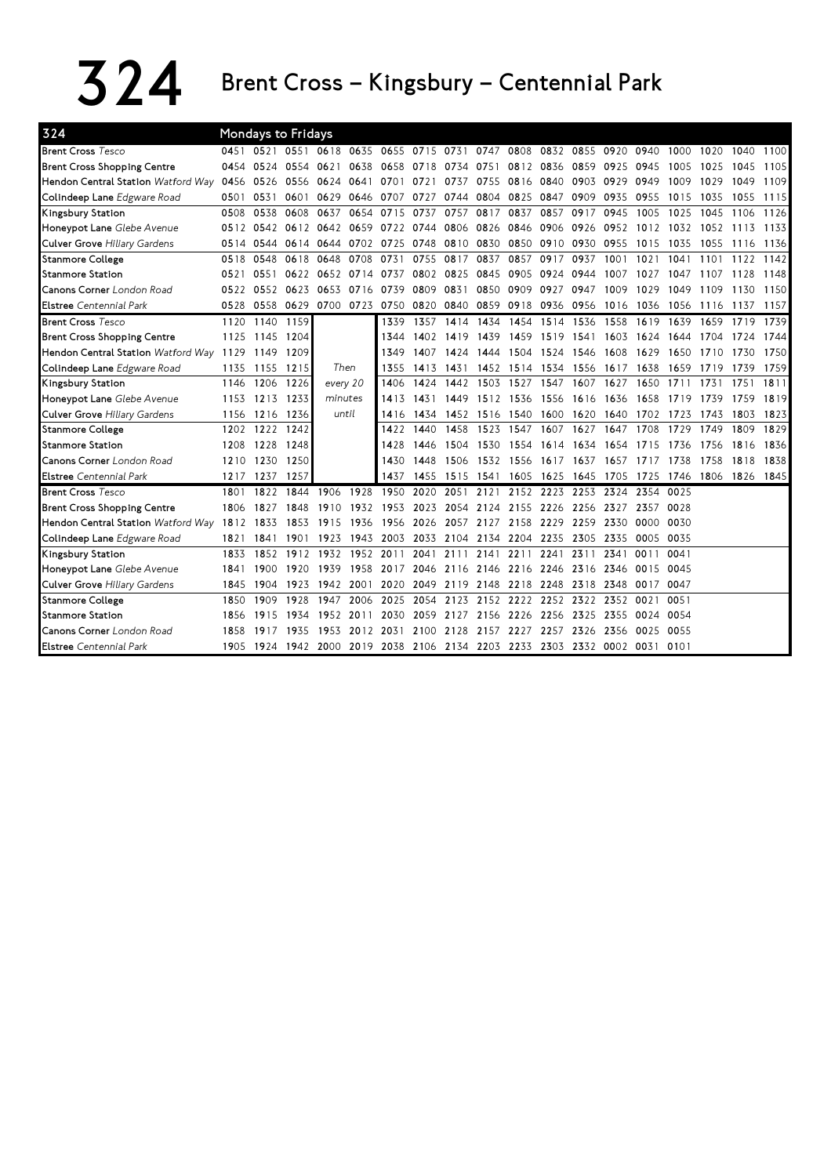## $324$  Brent Cross – Kingsbury – Centennial Park

| 324                                       |           |                | <b>Mondays to Fridays</b> |                                         |           |           |           |           |                |           |                     |      |           |                                                                            |      |      |           |      |
|-------------------------------------------|-----------|----------------|---------------------------|-----------------------------------------|-----------|-----------|-----------|-----------|----------------|-----------|---------------------|------|-----------|----------------------------------------------------------------------------|------|------|-----------|------|
| <b>Brent Cross Tesco</b>                  |           | 0451 0521      |                           | 0551 0618 0635 0655 0715 0731 0747 0808 |           |           |           |           |                |           | 0832 0855 0920 0940 |      |           |                                                                            | 1000 | 1020 | 1040      | 1100 |
| <b>Brent Cross Shopping Centre</b>        |           | 0454 0524 0554 |                           | 0621                                    | 0638      | 0658      | 0718      | 0734      | 0751           |           | 0812 0836           | 0859 | 0925      | 0945                                                                       | 1005 | 1025 | 1045      | 1105 |
| <b>Hendon Central Station</b> Watford Way | 0456 0526 |                | 0556                      | 0624 0641                               |           | 0701      | 0721      | 0737      | 0755           |           | 0816 0840 0903      |      | 0929      | 0949                                                                       | 1009 | 1029 | 1049      | 1109 |
| Colindeep Lane Edgware Road               | 0501      | 0531           | 0601                      | 0629                                    | 0646      | 0707      | 0727      | 0744 0804 |                | 0825      | 0847                | 0909 | 0935      | 0955                                                                       | 1015 | 1035 | 1055      | 1115 |
| Kingsbury Station                         | 0508      | 0538           | 0608                      | 0637                                    | 0654      | 0715      | 0737      | 0757      | 0817           | 0837      | 0857                | 0917 | 0945      | 1005                                                                       | 1025 | 1045 | 1106      | 1126 |
| Honeypot Lane Glebe Avenue                |           |                | 0512 0542 0612 0642 0659  |                                         |           | 0722 0744 |           |           | 0806 0826 0846 |           | 0906 0926           |      | 0952      | 1012                                                                       | 1032 | 1052 | 1113      | 1133 |
| Culver Grove Hiliary Gardens              | 0514      | 0544           |                           | 0614 0644 0702                          |           | 0725      | 0748      | 0810 0830 |                |           | 0850 0910 0930      |      | 0955      | 1015                                                                       | 1035 | 1055 | 1116      | 1136 |
| <b>Stanmore College</b>                   | 0518      | 0548           | 0618                      | 0648                                    | 0708      | 0731      | 0755      | 0817      | 0837           | 0857      | 0917                | 0937 | 1001      | 1021                                                                       | 1041 | 1101 | 1122      | 1142 |
| <b>Stanmore Station</b>                   | 0521      | 0551           |                           | 0622 0652 0714 0737                     |           |           | 0802 0825 |           | 0845           | 0905      | 0924 0944           |      | 1007      | 1027                                                                       | 1047 | 1107 | 1128      | 1148 |
| <b>Canons Corner</b> London Road          | 0522      | 0552           | 0623                      | 0653                                    | 0716 0739 |           | 0809      | 0831      | 0850           | 0909 0927 |                     | 0947 | 1009      | 1029                                                                       | 1049 | 1109 | 1130      | 1150 |
| <b>Elstree</b> Centennial Park            | 0528      | 0558 0629      |                           | 0700 0723 0750                          |           |           | 0820      | 0840 0859 |                |           | 0918 0936 0956      |      | 1016 1036 |                                                                            | 1056 | 1116 | 1137      | 1157 |
| <b>Brent Cross Tesco</b>                  | 1120      | 1140           | 1159                      |                                         |           | 1339      | 1357      | 1414      | 1434           | 1454      | 1514                | 1536 | 1558      | 1619                                                                       | 1639 | 1659 | 1719      | 1739 |
| <b>Brent Cross Shopping Centre</b>        |           | 1125 1145 1204 |                           |                                         |           | 1344      | 1402      | 1419 1439 |                | 1459      | 1519 1541           |      | 1603      | 1624                                                                       | 1644 | 1704 | 1724      | 1744 |
| Hendon Central Station Watford Way 1129   |           | 1149 1209      |                           |                                         |           | 1349      | 1407      | 1424      | 1444           | 1504      | 1524 1546           |      | 1608      | 1629                                                                       | 1650 | 1710 | 1730      | 1750 |
| Colindeep Lane Edgware Road               | 1135      | 1155           | 1215                      | Then                                    |           | 1355      | 1413      | 1431      | 1452           |           | 1514 1534 1556      |      | 1617      | 1638                                                                       | 1659 | 1719 | 1739      | 1759 |
| Kingsbury Station                         | 1146      | 1206           | 1226                      | every 20                                |           | 1406      | 1424      | 1442      | 1503           | 1527      | 1547                | 1607 | 1627      | 1650                                                                       | 1711 | 1731 | 1751      | 1811 |
| Honeypot Lane Glebe Avenue                | 1153      | 1213           | 1233                      | minutes                                 |           | 1413      | 1431      | 1449      | 1512           | 1536      | 1556                | 1616 | 1636      | 1658                                                                       | 1719 | 1739 | 1759      | 1819 |
| Culver Grove Hiliary Gardens              | 1156      | 1216           | 1236                      | until                                   |           | 1416      | 1434      | 1452 1516 |                | 1540      | 1600                | 1620 | 1640      | 1702                                                                       | 1723 | 1743 | 1803      | 1823 |
| <b>Stanmore College</b>                   | 1202      | 1222           | 1242                      |                                         |           | 1422      | 1440      | 1458      | 1523           | 1547      | 1607                | 1627 | 1647      | 1708                                                                       | 1729 | 1749 | 1809      | 1829 |
| <b>Stanmore Station</b>                   | 1208      | 1228           | 1248                      |                                         |           | 1428      | 1446      | 1504      | 1530           | 1554      | 1614                | 1634 | 1654      | 1715                                                                       | 1736 | 1756 | 1816      | 1836 |
| Canons Corner London Road                 | 1210      | 1230           | 1250                      |                                         |           | 1430      | 1448      | 1506      | 1532           | 1556      | 1617                | 1637 | 1657      | 1717                                                                       | 1738 | 1758 | 1818      | 1838 |
| <b>Elstree</b> Centennial Park            | 1217      | 1237           | 1257                      |                                         |           | 1437      | 1455      | 1515 1541 |                | 1605      | 1625                | 1645 | 1705      | 1725                                                                       | 1746 | 1806 | 1826 1845 |      |
| <b>Brent Cross Tesco</b>                  | 1801      | 1822           | 1844                      | 1906                                    | 1928      | 1950      | 2020      | 2051      | 2121           | 2152      | 2223                | 2253 | 2324      | 2354                                                                       | 0025 |      |           |      |
| <b>Brent Cross Shopping Centre</b>        | 1806      | 1827           | 1848                      | 1910                                    | 1932      | 1953      | 2023      | 2054      | 2124           | 2155      | 2226                | 2256 | 2327      | 2357                                                                       | 0028 |      |           |      |
| Hendon Central Station Watford Way        | 1812      | 1833           | 1853                      | 1915                                    | 1936      | 1956      | 2026      | 2057 2127 |                | 2158      | 2229                | 2259 | 2330      | 0000                                                                       | 0030 |      |           |      |
| Colindeep Lane Edgware Road               | 1821      | 1841           | 1901                      | 1923                                    | 1943      | 2003      | 2033      | 2104 2134 |                | 2204      | 2235                | 2305 | 2335      | 0005                                                                       | 0035 |      |           |      |
| Kingsbury Station                         | 1833      | 1852           | 1912                      | 1932                                    | 1952 2011 |           | 2041      | 2111      | 2141           | 2211      | 2241                | 2311 | 2341      | 0011                                                                       | 0041 |      |           |      |
| Honeypot Lane Glebe Avenue                | 1841      | 1900           | 1920                      | 1939                                    | 1958      | 2017      | 2046      | 2116 2146 |                | 2216 2246 |                     | 2316 | 2346      | 0015                                                                       | 0045 |      |           |      |
| Culver Grove Hiliary Gardens              | 1845      | 1904           | 1923                      | 1942                                    | 2001      | 2020      | 2049      | 2119 2148 |                | 2218      | 2248                | 2318 | 2348      | 0017                                                                       | 0047 |      |           |      |
| <b>Stanmore College</b>                   | 1850      | 1909           | 1928                      | 1947                                    | 2006      | 2025      | 2054      |           | 2123 2152      | 2222 2252 |                     | 2322 | 2352 0021 |                                                                            | 0051 |      |           |      |
| <b>Stanmore Station</b>                   | 1856      | 1915           | 1934                      | 1952                                    | 2011      | 2030      | 2059      | 2127      | 2156           | 2226      | 2256                | 2325 | 2355      | 0024                                                                       | 0054 |      |           |      |
| <b>Canons Corner</b> London Road          | 1858      | 1917           | 1935                      | 1953                                    | 2012 2031 |           | 2100      | 2128      |                | 2157 2227 | 2257                | 2326 | 2356      | 0025                                                                       | 0055 |      |           |      |
| <b>Elstree</b> Centennial Park            |           |                |                           |                                         |           |           |           |           |                |           |                     |      |           | 1905 1924 1942 2000 2019 2038 2106 2134 2203 2233 2303 2332 0002 0031 0101 |      |      |           |      |